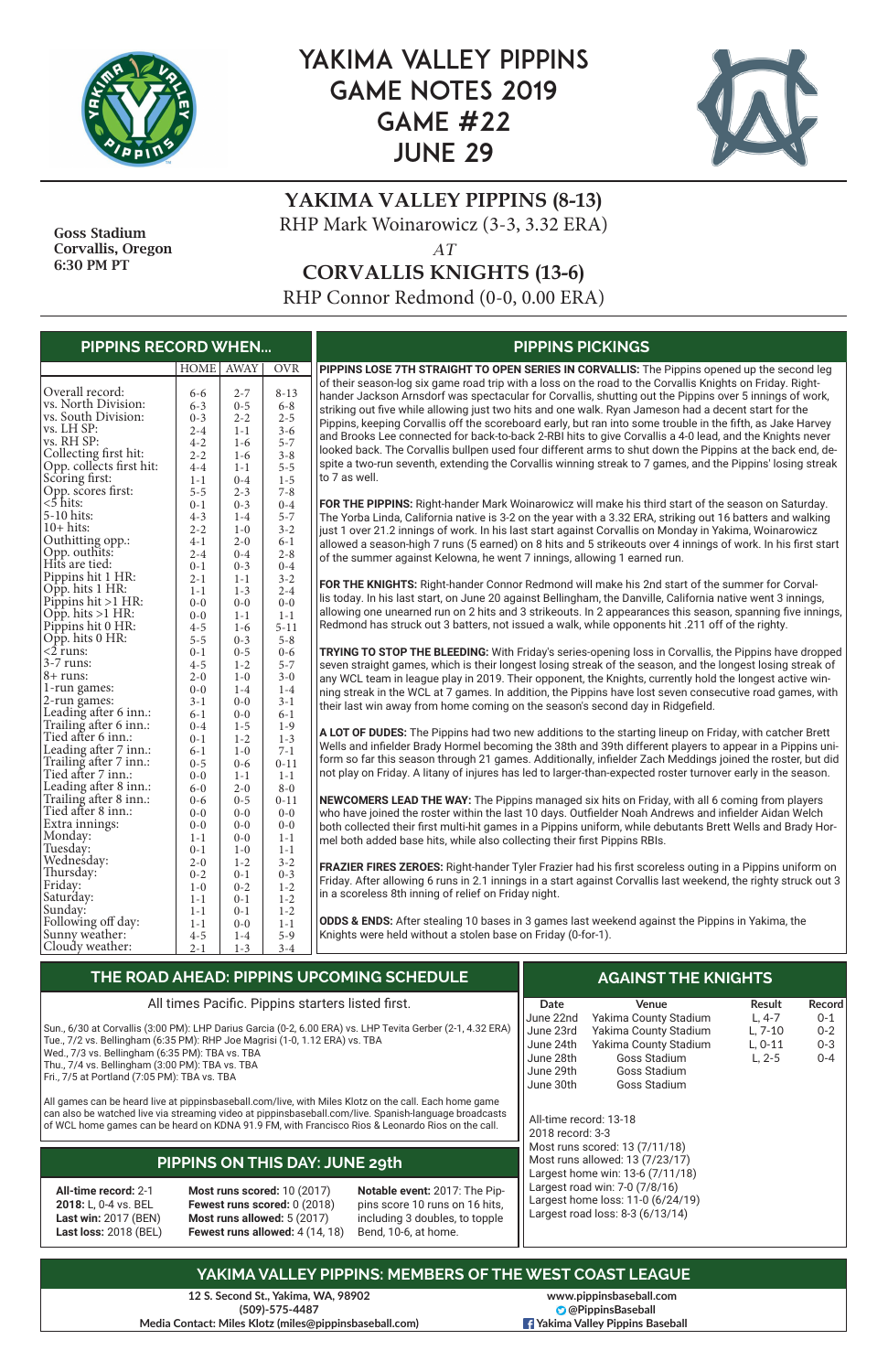

# YAKIMA VALLEY PIPPINS GAME NOTES 2019 GAME #22 JUNE 29



## **YAKIMA VALLEY PIPPINS (8-13)** RHP Mark Woinarowicz (3-3, 3.32 ERA)

*AT*

**CORVALLIS KNIGHTS (13-6)**

RHP Connor Redmond (0-0, 0.00 ERA)

**12 S. Second St., Yakima, WA, 98902 (509)-575-4487 Media Contact: Miles Klotz (miles@pippinsbaseball.com)**

 Goss Stadium Corvallis, Oregon 6:30 PM PT

| HOME AWAY<br><b>OVR</b><br>PIPPINS LOSE 7TH STRAIGHT TO OPEN SERIES IN CORVALLIS: The Pippins opened up the second leg<br>of their season-log six game road trip with a loss on the road to the Corvallis Knights on Friday. Right-<br>Overall record:<br>$2 - 7$<br>$8 - 13$<br>$6 - 6$<br>hander Jackson Arnsdorf was spectacular for Corvallis, shutting out the Pippins over 5 innings of work,<br>vs. North Division:<br>$0 - 5$<br>$6 - 8$<br>$6 - 3$<br>striking out five while allowing just two hits and one walk. Ryan Jameson had a decent start for the<br>vs. South Division:<br>$2 - 5$<br>$0 - 3$<br>$2 - 2$<br>Pippins, keeping Corvallis off the scoreboard early, but ran into some trouble in the fifth, as Jake Harvey<br>vs. LH SP:<br>$3 - 6$<br>$2 - 4$<br>$1 - 1$<br>and Brooks Lee connected for back-to-back 2-RBI hits to give Corvallis a 4-0 lead, and the Knights never<br>vs. RH SP:<br>$5 - 7$<br>$4 - 2$<br>$1-6$<br>looked back. The Corvallis bullpen used four different arms to shut down the Pippins at the back end, de-<br>Collecting first hit:<br>$3 - 8$<br>$2 - 2$<br>$1-6$<br>spite a two-run seventh, extending the Corvallis winning streak to 7 games, and the Pippins' losing streak<br>Opp. collects first hit:<br>$5 - 5$<br>$4 - 4$<br>$1 - 1$<br>Scoring first:<br>to 7 as well.<br>$1 - 5$<br>$1 - 1$<br>$0 - 4$<br>Opp. scores first:<br>$7 - 8$<br>$5 - 5$<br>$2 - 3$<br><5 hits:<br>FOR THE PIPPINS: Right-hander Mark Woinarowicz will make his third start of the season on Saturday.<br>$0 - 3$<br>$0 - 4$<br>$0 - 1$<br>5-10 hits:<br>$5 - 7$<br>$4 - 3$<br>$1-4$<br>The Yorba Linda, California native is 3-2 on the year with a 3.32 ERA, striking out 16 batters and walking<br>$10+$ hits:<br>$3 - 2$<br>$2 - 2$<br>$1-0$<br>just 1 over 21.2 innings of work. In his last start against Corvallis on Monday in Yakima, Woinarowicz<br>Outhitting opp.:<br>$4 - 1$<br>$2 - 0$<br>$6 - 1$<br>allowed a season-high 7 runs (5 earned) on 8 hits and 5 strikeouts over 4 innings of work. In his first start<br>Opp. outhits:<br>$2 - 8$<br>$2 - 4$<br>$0 - 4$<br>of the summer against Kelowna, he went 7 innings, allowing 1 earned run.<br>Hits are tied:<br>$0 - 3$<br>$0 - 4$<br>$0 - 1$<br>Pippins hit 1 HR:<br>$3 - 2$<br>$2 - 1$<br>$1 - 1$<br>FOR THE KNIGHTS: Right-hander Connor Redmond will make his 2nd start of the summer for Corval-<br>Opp. hits 1 HR:<br>$1 - 3$<br>$2 - 4$<br>$1 - 1$<br>lis today. In his last start, on June 20 against Bellingham, the Danville, California native went 3 innings,<br>Pippins hit >1 HR:<br>$0 - 0$<br>$0 - 0$<br>$0-0$<br>allowing one unearned run on 2 hits and 3 strikeouts. In 2 appearances this season, spanning five innings,<br>Opp. hits $>1$ HR:<br>$1 - 1$<br>$0 - 0$<br>$1 - 1$<br>Redmond has struck out 3 batters, not issued a walk, while opponents hit .211 off of the righty.<br>Pippins hit 0 HR:<br>$5 - 11$<br>$4 - 5$<br>$1-6$<br>Opp. hits 0 HR:<br>$5 - 8$<br>$0 - 3$<br>$5 - 5$<br>$<$ 2 runs:<br>TRYING TO STOP THE BLEEDING: With Friday's series-opening loss in Corvallis, the Pippins have dropped<br>$0 - 1$<br>$0 - 5$<br>$0 - 6$<br>3-7 runs:<br>$1 - 2$<br>$5 - 7$<br>$4 - 5$<br>seven straight games, which is their longest losing streak of the season, and the longest losing streak of<br>$8 + \text{runs:}$<br>$1-0$<br>$3 - 0$<br>$2 - 0$<br>any WCL team in league play in 2019. Their opponent, the Knights, currently hold the longest active win-<br>1-run games:<br>$0 - 0$<br>$1-4$<br>$1-4$<br>ning streak in the WCL at 7 games. In addition, the Pippins have lost seven consecutive road games, with<br>2-run games:<br>$3 - 1$<br>$0-0$<br>$3 - 1$<br>their last win away from home coming on the season's second day in Ridgefield.<br>Leading after 6 inn.:<br>$6 - 1$<br>$6 - 1$<br>$0-0$<br>Trailing after 6 inn.:<br>$1-9$<br>$0 - 4$<br>$1 - 5$<br>A LOT OF DUDES: The Pippins had two new additions to the starting lineup on Friday, with catcher Brett<br>Tied after 6 inn.:<br>$1 - 3$<br>$1 - 2$<br>$0 - 1$<br>Wells and infielder Brady Hormel becoming the 38th and 39th different players to appear in a Pippins uni-<br>Leading after 7 inn.:<br>$7 - 1$<br>$6 - 1$<br>$1-0$<br>form so far this season through 21 games. Additionally, infielder Zach Meddings joined the roster, but did<br>Trailing after 7 inn.:<br>$0 - 11$<br>$0 - 5$<br>$0 - 6$<br>Tied after 7 inn.:<br>not play on Friday. A litany of injures has led to larger-than-expected roster turnover early in the season.<br>$1 - 1$<br>$1 - 1$<br>$0 - 0$<br>Leading after 8 inn.:<br>$2 - 0$<br>$8 - 0$<br>$6-0$<br>Trailing after 8 inn.:<br><b>NEWCOMERS LEAD THE WAY:</b> The Pippins managed six hits on Friday, with all 6 coming from players<br>$0 - 6$<br>$0 - 5$<br>$0 - 11$<br>Tied after 8 inn.:<br>$0 - 0$<br>$0 - 0$<br>$0 - 0$<br>who have joined the roster within the last 10 days. Outfielder Noah Andrews and infielder Aidan Welch<br>Extra innings:<br>$0 - 0$<br>$0 - 0$<br>$0 - 0$<br>both collected their first multi-hit games in a Pippins uniform, while debutants Brett Wells and Brady Hor-<br>Monday:<br>$1 - 1$<br>$0 - 0$<br>$1 - 1$<br>mel both added base hits, while also collecting their first Pippins RBIs.<br>Tuesday:<br>$1-0$<br>$1 - 1$<br>$0 - 1$<br>Wednesday:<br>$2 - 0$<br>$1 - 2$<br>$3 - 2$<br>FRAZIER FIRES ZEROES: Right-hander Tyler Frazier had his first scoreless outing in a Pippins uniform on<br>Thursday:<br>$0 - 2$<br>$0 - 3$<br>$0 - 1$<br>Friday. After allowing 6 runs in 2.1 innings in a start against Corvallis last weekend, the righty struck out 3<br>Friday:<br>$1-0$<br>$0 - 2$<br>$1 - 2$<br>in a scoreless 8th inning of relief on Friday night.<br>Saturday:<br>$1 - 2$<br>$1 - 1$<br>$0 - 1$<br>Sunday:<br>$1 - 1$<br>$0 - 1$<br>$1 - 2$<br>ODDS & ENDS: After stealing 10 bases in 3 games last weekend against the Pippins in Yakima, the<br>Following off day:<br>$1 - 1$<br>$1 - 1$<br>$0-0$<br>Knights were held without a stolen base on Friday (0-for-1).<br>Sunny weather:<br>$4 - 5$<br>$1-4$<br>$5-9$ | <b>PIPPINS RECORD WHEN</b> |         |         |         | <b>PIPPINS PICKINGS</b> |
|---------------------------------------------------------------------------------------------------------------------------------------------------------------------------------------------------------------------------------------------------------------------------------------------------------------------------------------------------------------------------------------------------------------------------------------------------------------------------------------------------------------------------------------------------------------------------------------------------------------------------------------------------------------------------------------------------------------------------------------------------------------------------------------------------------------------------------------------------------------------------------------------------------------------------------------------------------------------------------------------------------------------------------------------------------------------------------------------------------------------------------------------------------------------------------------------------------------------------------------------------------------------------------------------------------------------------------------------------------------------------------------------------------------------------------------------------------------------------------------------------------------------------------------------------------------------------------------------------------------------------------------------------------------------------------------------------------------------------------------------------------------------------------------------------------------------------------------------------------------------------------------------------------------------------------------------------------------------------------------------------------------------------------------------------------------------------------------------------------------------------------------------------------------------------------------------------------------------------------------------------------------------------------------------------------------------------------------------------------------------------------------------------------------------------------------------------------------------------------------------------------------------------------------------------------------------------------------------------------------------------------------------------------------------------------------------------------------------------------------------------------------------------------------------------------------------------------------------------------------------------------------------------------------------------------------------------------------------------------------------------------------------------------------------------------------------------------------------------------------------------------------------------------------------------------------------------------------------------------------------------------------------------------------------------------------------------------------------------------------------------------------------------------------------------------------------------------------------------------------------------------------------------------------------------------------------------------------------------------------------------------------------------------------------------------------------------------------------------------------------------------------------------------------------------------------------------------------------------------------------------------------------------------------------------------------------------------------------------------------------------------------------------------------------------------------------------------------------------------------------------------------------------------------------------------------------------------------------------------------------------------------------------------------------------------------------------------------------------------------------------------------------------------------------------------------------------------------------------------------------------------------------------------------------------------------------------------------------------------------------------------------------------------------------------------------------------------------------------------------------------------------------------------------------------------------------------------------------------------------------------------------------------------------------------------------------------------------------------------------------------------------------------------------------------------------------------------------------------------------------------------------------------------------------------------------------------------------------------------------------------------------------------------------------------------------------------------------------------------------------------------------------------------------------------------------------------------------------------------------------------------------------------------------------------------------------------------------------------------------------------------------------------------------------------------------------------------------------------------------------------------------------------------------------------------------------------------------------------------------------------------------------------------------------------------------------------------------------------------------------------------------------------------------------------------------------------------------------------------------------------------------------------------|----------------------------|---------|---------|---------|-------------------------|
|                                                                                                                                                                                                                                                                                                                                                                                                                                                                                                                                                                                                                                                                                                                                                                                                                                                                                                                                                                                                                                                                                                                                                                                                                                                                                                                                                                                                                                                                                                                                                                                                                                                                                                                                                                                                                                                                                                                                                                                                                                                                                                                                                                                                                                                                                                                                                                                                                                                                                                                                                                                                                                                                                                                                                                                                                                                                                                                                                                                                                                                                                                                                                                                                                                                                                                                                                                                                                                                                                                                                                                                                                                                                                                                                                                                                                                                                                                                                                                                                                                                                                                                                                                                                                                                                                                                                                                                                                                                                                                                                                                                                                                                                                                                                                                                                                                                                                                                                                                                                                                                                                                                                                                                                                                                                                                                                                                                                                                                                                                                                                                                                                                                                                                                                                                                                                                                                                                                                                                                                                                                                                                                                                         |                            |         |         |         |                         |
|                                                                                                                                                                                                                                                                                                                                                                                                                                                                                                                                                                                                                                                                                                                                                                                                                                                                                                                                                                                                                                                                                                                                                                                                                                                                                                                                                                                                                                                                                                                                                                                                                                                                                                                                                                                                                                                                                                                                                                                                                                                                                                                                                                                                                                                                                                                                                                                                                                                                                                                                                                                                                                                                                                                                                                                                                                                                                                                                                                                                                                                                                                                                                                                                                                                                                                                                                                                                                                                                                                                                                                                                                                                                                                                                                                                                                                                                                                                                                                                                                                                                                                                                                                                                                                                                                                                                                                                                                                                                                                                                                                                                                                                                                                                                                                                                                                                                                                                                                                                                                                                                                                                                                                                                                                                                                                                                                                                                                                                                                                                                                                                                                                                                                                                                                                                                                                                                                                                                                                                                                                                                                                                                                         |                            |         |         |         |                         |
|                                                                                                                                                                                                                                                                                                                                                                                                                                                                                                                                                                                                                                                                                                                                                                                                                                                                                                                                                                                                                                                                                                                                                                                                                                                                                                                                                                                                                                                                                                                                                                                                                                                                                                                                                                                                                                                                                                                                                                                                                                                                                                                                                                                                                                                                                                                                                                                                                                                                                                                                                                                                                                                                                                                                                                                                                                                                                                                                                                                                                                                                                                                                                                                                                                                                                                                                                                                                                                                                                                                                                                                                                                                                                                                                                                                                                                                                                                                                                                                                                                                                                                                                                                                                                                                                                                                                                                                                                                                                                                                                                                                                                                                                                                                                                                                                                                                                                                                                                                                                                                                                                                                                                                                                                                                                                                                                                                                                                                                                                                                                                                                                                                                                                                                                                                                                                                                                                                                                                                                                                                                                                                                                                         |                            |         |         |         |                         |
|                                                                                                                                                                                                                                                                                                                                                                                                                                                                                                                                                                                                                                                                                                                                                                                                                                                                                                                                                                                                                                                                                                                                                                                                                                                                                                                                                                                                                                                                                                                                                                                                                                                                                                                                                                                                                                                                                                                                                                                                                                                                                                                                                                                                                                                                                                                                                                                                                                                                                                                                                                                                                                                                                                                                                                                                                                                                                                                                                                                                                                                                                                                                                                                                                                                                                                                                                                                                                                                                                                                                                                                                                                                                                                                                                                                                                                                                                                                                                                                                                                                                                                                                                                                                                                                                                                                                                                                                                                                                                                                                                                                                                                                                                                                                                                                                                                                                                                                                                                                                                                                                                                                                                                                                                                                                                                                                                                                                                                                                                                                                                                                                                                                                                                                                                                                                                                                                                                                                                                                                                                                                                                                                                         |                            |         |         |         |                         |
|                                                                                                                                                                                                                                                                                                                                                                                                                                                                                                                                                                                                                                                                                                                                                                                                                                                                                                                                                                                                                                                                                                                                                                                                                                                                                                                                                                                                                                                                                                                                                                                                                                                                                                                                                                                                                                                                                                                                                                                                                                                                                                                                                                                                                                                                                                                                                                                                                                                                                                                                                                                                                                                                                                                                                                                                                                                                                                                                                                                                                                                                                                                                                                                                                                                                                                                                                                                                                                                                                                                                                                                                                                                                                                                                                                                                                                                                                                                                                                                                                                                                                                                                                                                                                                                                                                                                                                                                                                                                                                                                                                                                                                                                                                                                                                                                                                                                                                                                                                                                                                                                                                                                                                                                                                                                                                                                                                                                                                                                                                                                                                                                                                                                                                                                                                                                                                                                                                                                                                                                                                                                                                                                                         |                            |         |         |         |                         |
|                                                                                                                                                                                                                                                                                                                                                                                                                                                                                                                                                                                                                                                                                                                                                                                                                                                                                                                                                                                                                                                                                                                                                                                                                                                                                                                                                                                                                                                                                                                                                                                                                                                                                                                                                                                                                                                                                                                                                                                                                                                                                                                                                                                                                                                                                                                                                                                                                                                                                                                                                                                                                                                                                                                                                                                                                                                                                                                                                                                                                                                                                                                                                                                                                                                                                                                                                                                                                                                                                                                                                                                                                                                                                                                                                                                                                                                                                                                                                                                                                                                                                                                                                                                                                                                                                                                                                                                                                                                                                                                                                                                                                                                                                                                                                                                                                                                                                                                                                                                                                                                                                                                                                                                                                                                                                                                                                                                                                                                                                                                                                                                                                                                                                                                                                                                                                                                                                                                                                                                                                                                                                                                                                         |                            |         |         |         |                         |
|                                                                                                                                                                                                                                                                                                                                                                                                                                                                                                                                                                                                                                                                                                                                                                                                                                                                                                                                                                                                                                                                                                                                                                                                                                                                                                                                                                                                                                                                                                                                                                                                                                                                                                                                                                                                                                                                                                                                                                                                                                                                                                                                                                                                                                                                                                                                                                                                                                                                                                                                                                                                                                                                                                                                                                                                                                                                                                                                                                                                                                                                                                                                                                                                                                                                                                                                                                                                                                                                                                                                                                                                                                                                                                                                                                                                                                                                                                                                                                                                                                                                                                                                                                                                                                                                                                                                                                                                                                                                                                                                                                                                                                                                                                                                                                                                                                                                                                                                                                                                                                                                                                                                                                                                                                                                                                                                                                                                                                                                                                                                                                                                                                                                                                                                                                                                                                                                                                                                                                                                                                                                                                                                                         |                            |         |         |         |                         |
|                                                                                                                                                                                                                                                                                                                                                                                                                                                                                                                                                                                                                                                                                                                                                                                                                                                                                                                                                                                                                                                                                                                                                                                                                                                                                                                                                                                                                                                                                                                                                                                                                                                                                                                                                                                                                                                                                                                                                                                                                                                                                                                                                                                                                                                                                                                                                                                                                                                                                                                                                                                                                                                                                                                                                                                                                                                                                                                                                                                                                                                                                                                                                                                                                                                                                                                                                                                                                                                                                                                                                                                                                                                                                                                                                                                                                                                                                                                                                                                                                                                                                                                                                                                                                                                                                                                                                                                                                                                                                                                                                                                                                                                                                                                                                                                                                                                                                                                                                                                                                                                                                                                                                                                                                                                                                                                                                                                                                                                                                                                                                                                                                                                                                                                                                                                                                                                                                                                                                                                                                                                                                                                                                         |                            |         |         |         |                         |
|                                                                                                                                                                                                                                                                                                                                                                                                                                                                                                                                                                                                                                                                                                                                                                                                                                                                                                                                                                                                                                                                                                                                                                                                                                                                                                                                                                                                                                                                                                                                                                                                                                                                                                                                                                                                                                                                                                                                                                                                                                                                                                                                                                                                                                                                                                                                                                                                                                                                                                                                                                                                                                                                                                                                                                                                                                                                                                                                                                                                                                                                                                                                                                                                                                                                                                                                                                                                                                                                                                                                                                                                                                                                                                                                                                                                                                                                                                                                                                                                                                                                                                                                                                                                                                                                                                                                                                                                                                                                                                                                                                                                                                                                                                                                                                                                                                                                                                                                                                                                                                                                                                                                                                                                                                                                                                                                                                                                                                                                                                                                                                                                                                                                                                                                                                                                                                                                                                                                                                                                                                                                                                                                                         |                            |         |         |         |                         |
|                                                                                                                                                                                                                                                                                                                                                                                                                                                                                                                                                                                                                                                                                                                                                                                                                                                                                                                                                                                                                                                                                                                                                                                                                                                                                                                                                                                                                                                                                                                                                                                                                                                                                                                                                                                                                                                                                                                                                                                                                                                                                                                                                                                                                                                                                                                                                                                                                                                                                                                                                                                                                                                                                                                                                                                                                                                                                                                                                                                                                                                                                                                                                                                                                                                                                                                                                                                                                                                                                                                                                                                                                                                                                                                                                                                                                                                                                                                                                                                                                                                                                                                                                                                                                                                                                                                                                                                                                                                                                                                                                                                                                                                                                                                                                                                                                                                                                                                                                                                                                                                                                                                                                                                                                                                                                                                                                                                                                                                                                                                                                                                                                                                                                                                                                                                                                                                                                                                                                                                                                                                                                                                                                         |                            |         |         |         |                         |
|                                                                                                                                                                                                                                                                                                                                                                                                                                                                                                                                                                                                                                                                                                                                                                                                                                                                                                                                                                                                                                                                                                                                                                                                                                                                                                                                                                                                                                                                                                                                                                                                                                                                                                                                                                                                                                                                                                                                                                                                                                                                                                                                                                                                                                                                                                                                                                                                                                                                                                                                                                                                                                                                                                                                                                                                                                                                                                                                                                                                                                                                                                                                                                                                                                                                                                                                                                                                                                                                                                                                                                                                                                                                                                                                                                                                                                                                                                                                                                                                                                                                                                                                                                                                                                                                                                                                                                                                                                                                                                                                                                                                                                                                                                                                                                                                                                                                                                                                                                                                                                                                                                                                                                                                                                                                                                                                                                                                                                                                                                                                                                                                                                                                                                                                                                                                                                                                                                                                                                                                                                                                                                                                                         |                            |         |         |         |                         |
|                                                                                                                                                                                                                                                                                                                                                                                                                                                                                                                                                                                                                                                                                                                                                                                                                                                                                                                                                                                                                                                                                                                                                                                                                                                                                                                                                                                                                                                                                                                                                                                                                                                                                                                                                                                                                                                                                                                                                                                                                                                                                                                                                                                                                                                                                                                                                                                                                                                                                                                                                                                                                                                                                                                                                                                                                                                                                                                                                                                                                                                                                                                                                                                                                                                                                                                                                                                                                                                                                                                                                                                                                                                                                                                                                                                                                                                                                                                                                                                                                                                                                                                                                                                                                                                                                                                                                                                                                                                                                                                                                                                                                                                                                                                                                                                                                                                                                                                                                                                                                                                                                                                                                                                                                                                                                                                                                                                                                                                                                                                                                                                                                                                                                                                                                                                                                                                                                                                                                                                                                                                                                                                                                         |                            |         |         |         |                         |
|                                                                                                                                                                                                                                                                                                                                                                                                                                                                                                                                                                                                                                                                                                                                                                                                                                                                                                                                                                                                                                                                                                                                                                                                                                                                                                                                                                                                                                                                                                                                                                                                                                                                                                                                                                                                                                                                                                                                                                                                                                                                                                                                                                                                                                                                                                                                                                                                                                                                                                                                                                                                                                                                                                                                                                                                                                                                                                                                                                                                                                                                                                                                                                                                                                                                                                                                                                                                                                                                                                                                                                                                                                                                                                                                                                                                                                                                                                                                                                                                                                                                                                                                                                                                                                                                                                                                                                                                                                                                                                                                                                                                                                                                                                                                                                                                                                                                                                                                                                                                                                                                                                                                                                                                                                                                                                                                                                                                                                                                                                                                                                                                                                                                                                                                                                                                                                                                                                                                                                                                                                                                                                                                                         |                            |         |         |         |                         |
|                                                                                                                                                                                                                                                                                                                                                                                                                                                                                                                                                                                                                                                                                                                                                                                                                                                                                                                                                                                                                                                                                                                                                                                                                                                                                                                                                                                                                                                                                                                                                                                                                                                                                                                                                                                                                                                                                                                                                                                                                                                                                                                                                                                                                                                                                                                                                                                                                                                                                                                                                                                                                                                                                                                                                                                                                                                                                                                                                                                                                                                                                                                                                                                                                                                                                                                                                                                                                                                                                                                                                                                                                                                                                                                                                                                                                                                                                                                                                                                                                                                                                                                                                                                                                                                                                                                                                                                                                                                                                                                                                                                                                                                                                                                                                                                                                                                                                                                                                                                                                                                                                                                                                                                                                                                                                                                                                                                                                                                                                                                                                                                                                                                                                                                                                                                                                                                                                                                                                                                                                                                                                                                                                         |                            |         |         |         |                         |
|                                                                                                                                                                                                                                                                                                                                                                                                                                                                                                                                                                                                                                                                                                                                                                                                                                                                                                                                                                                                                                                                                                                                                                                                                                                                                                                                                                                                                                                                                                                                                                                                                                                                                                                                                                                                                                                                                                                                                                                                                                                                                                                                                                                                                                                                                                                                                                                                                                                                                                                                                                                                                                                                                                                                                                                                                                                                                                                                                                                                                                                                                                                                                                                                                                                                                                                                                                                                                                                                                                                                                                                                                                                                                                                                                                                                                                                                                                                                                                                                                                                                                                                                                                                                                                                                                                                                                                                                                                                                                                                                                                                                                                                                                                                                                                                                                                                                                                                                                                                                                                                                                                                                                                                                                                                                                                                                                                                                                                                                                                                                                                                                                                                                                                                                                                                                                                                                                                                                                                                                                                                                                                                                                         |                            |         |         |         |                         |
|                                                                                                                                                                                                                                                                                                                                                                                                                                                                                                                                                                                                                                                                                                                                                                                                                                                                                                                                                                                                                                                                                                                                                                                                                                                                                                                                                                                                                                                                                                                                                                                                                                                                                                                                                                                                                                                                                                                                                                                                                                                                                                                                                                                                                                                                                                                                                                                                                                                                                                                                                                                                                                                                                                                                                                                                                                                                                                                                                                                                                                                                                                                                                                                                                                                                                                                                                                                                                                                                                                                                                                                                                                                                                                                                                                                                                                                                                                                                                                                                                                                                                                                                                                                                                                                                                                                                                                                                                                                                                                                                                                                                                                                                                                                                                                                                                                                                                                                                                                                                                                                                                                                                                                                                                                                                                                                                                                                                                                                                                                                                                                                                                                                                                                                                                                                                                                                                                                                                                                                                                                                                                                                                                         |                            |         |         |         |                         |
|                                                                                                                                                                                                                                                                                                                                                                                                                                                                                                                                                                                                                                                                                                                                                                                                                                                                                                                                                                                                                                                                                                                                                                                                                                                                                                                                                                                                                                                                                                                                                                                                                                                                                                                                                                                                                                                                                                                                                                                                                                                                                                                                                                                                                                                                                                                                                                                                                                                                                                                                                                                                                                                                                                                                                                                                                                                                                                                                                                                                                                                                                                                                                                                                                                                                                                                                                                                                                                                                                                                                                                                                                                                                                                                                                                                                                                                                                                                                                                                                                                                                                                                                                                                                                                                                                                                                                                                                                                                                                                                                                                                                                                                                                                                                                                                                                                                                                                                                                                                                                                                                                                                                                                                                                                                                                                                                                                                                                                                                                                                                                                                                                                                                                                                                                                                                                                                                                                                                                                                                                                                                                                                                                         |                            |         |         |         |                         |
|                                                                                                                                                                                                                                                                                                                                                                                                                                                                                                                                                                                                                                                                                                                                                                                                                                                                                                                                                                                                                                                                                                                                                                                                                                                                                                                                                                                                                                                                                                                                                                                                                                                                                                                                                                                                                                                                                                                                                                                                                                                                                                                                                                                                                                                                                                                                                                                                                                                                                                                                                                                                                                                                                                                                                                                                                                                                                                                                                                                                                                                                                                                                                                                                                                                                                                                                                                                                                                                                                                                                                                                                                                                                                                                                                                                                                                                                                                                                                                                                                                                                                                                                                                                                                                                                                                                                                                                                                                                                                                                                                                                                                                                                                                                                                                                                                                                                                                                                                                                                                                                                                                                                                                                                                                                                                                                                                                                                                                                                                                                                                                                                                                                                                                                                                                                                                                                                                                                                                                                                                                                                                                                                                         |                            |         |         |         |                         |
|                                                                                                                                                                                                                                                                                                                                                                                                                                                                                                                                                                                                                                                                                                                                                                                                                                                                                                                                                                                                                                                                                                                                                                                                                                                                                                                                                                                                                                                                                                                                                                                                                                                                                                                                                                                                                                                                                                                                                                                                                                                                                                                                                                                                                                                                                                                                                                                                                                                                                                                                                                                                                                                                                                                                                                                                                                                                                                                                                                                                                                                                                                                                                                                                                                                                                                                                                                                                                                                                                                                                                                                                                                                                                                                                                                                                                                                                                                                                                                                                                                                                                                                                                                                                                                                                                                                                                                                                                                                                                                                                                                                                                                                                                                                                                                                                                                                                                                                                                                                                                                                                                                                                                                                                                                                                                                                                                                                                                                                                                                                                                                                                                                                                                                                                                                                                                                                                                                                                                                                                                                                                                                                                                         |                            |         |         |         |                         |
|                                                                                                                                                                                                                                                                                                                                                                                                                                                                                                                                                                                                                                                                                                                                                                                                                                                                                                                                                                                                                                                                                                                                                                                                                                                                                                                                                                                                                                                                                                                                                                                                                                                                                                                                                                                                                                                                                                                                                                                                                                                                                                                                                                                                                                                                                                                                                                                                                                                                                                                                                                                                                                                                                                                                                                                                                                                                                                                                                                                                                                                                                                                                                                                                                                                                                                                                                                                                                                                                                                                                                                                                                                                                                                                                                                                                                                                                                                                                                                                                                                                                                                                                                                                                                                                                                                                                                                                                                                                                                                                                                                                                                                                                                                                                                                                                                                                                                                                                                                                                                                                                                                                                                                                                                                                                                                                                                                                                                                                                                                                                                                                                                                                                                                                                                                                                                                                                                                                                                                                                                                                                                                                                                         |                            |         |         |         |                         |
|                                                                                                                                                                                                                                                                                                                                                                                                                                                                                                                                                                                                                                                                                                                                                                                                                                                                                                                                                                                                                                                                                                                                                                                                                                                                                                                                                                                                                                                                                                                                                                                                                                                                                                                                                                                                                                                                                                                                                                                                                                                                                                                                                                                                                                                                                                                                                                                                                                                                                                                                                                                                                                                                                                                                                                                                                                                                                                                                                                                                                                                                                                                                                                                                                                                                                                                                                                                                                                                                                                                                                                                                                                                                                                                                                                                                                                                                                                                                                                                                                                                                                                                                                                                                                                                                                                                                                                                                                                                                                                                                                                                                                                                                                                                                                                                                                                                                                                                                                                                                                                                                                                                                                                                                                                                                                                                                                                                                                                                                                                                                                                                                                                                                                                                                                                                                                                                                                                                                                                                                                                                                                                                                                         |                            |         |         |         |                         |
|                                                                                                                                                                                                                                                                                                                                                                                                                                                                                                                                                                                                                                                                                                                                                                                                                                                                                                                                                                                                                                                                                                                                                                                                                                                                                                                                                                                                                                                                                                                                                                                                                                                                                                                                                                                                                                                                                                                                                                                                                                                                                                                                                                                                                                                                                                                                                                                                                                                                                                                                                                                                                                                                                                                                                                                                                                                                                                                                                                                                                                                                                                                                                                                                                                                                                                                                                                                                                                                                                                                                                                                                                                                                                                                                                                                                                                                                                                                                                                                                                                                                                                                                                                                                                                                                                                                                                                                                                                                                                                                                                                                                                                                                                                                                                                                                                                                                                                                                                                                                                                                                                                                                                                                                                                                                                                                                                                                                                                                                                                                                                                                                                                                                                                                                                                                                                                                                                                                                                                                                                                                                                                                                                         |                            |         |         |         |                         |
|                                                                                                                                                                                                                                                                                                                                                                                                                                                                                                                                                                                                                                                                                                                                                                                                                                                                                                                                                                                                                                                                                                                                                                                                                                                                                                                                                                                                                                                                                                                                                                                                                                                                                                                                                                                                                                                                                                                                                                                                                                                                                                                                                                                                                                                                                                                                                                                                                                                                                                                                                                                                                                                                                                                                                                                                                                                                                                                                                                                                                                                                                                                                                                                                                                                                                                                                                                                                                                                                                                                                                                                                                                                                                                                                                                                                                                                                                                                                                                                                                                                                                                                                                                                                                                                                                                                                                                                                                                                                                                                                                                                                                                                                                                                                                                                                                                                                                                                                                                                                                                                                                                                                                                                                                                                                                                                                                                                                                                                                                                                                                                                                                                                                                                                                                                                                                                                                                                                                                                                                                                                                                                                                                         |                            |         |         |         |                         |
|                                                                                                                                                                                                                                                                                                                                                                                                                                                                                                                                                                                                                                                                                                                                                                                                                                                                                                                                                                                                                                                                                                                                                                                                                                                                                                                                                                                                                                                                                                                                                                                                                                                                                                                                                                                                                                                                                                                                                                                                                                                                                                                                                                                                                                                                                                                                                                                                                                                                                                                                                                                                                                                                                                                                                                                                                                                                                                                                                                                                                                                                                                                                                                                                                                                                                                                                                                                                                                                                                                                                                                                                                                                                                                                                                                                                                                                                                                                                                                                                                                                                                                                                                                                                                                                                                                                                                                                                                                                                                                                                                                                                                                                                                                                                                                                                                                                                                                                                                                                                                                                                                                                                                                                                                                                                                                                                                                                                                                                                                                                                                                                                                                                                                                                                                                                                                                                                                                                                                                                                                                                                                                                                                         |                            |         |         |         |                         |
|                                                                                                                                                                                                                                                                                                                                                                                                                                                                                                                                                                                                                                                                                                                                                                                                                                                                                                                                                                                                                                                                                                                                                                                                                                                                                                                                                                                                                                                                                                                                                                                                                                                                                                                                                                                                                                                                                                                                                                                                                                                                                                                                                                                                                                                                                                                                                                                                                                                                                                                                                                                                                                                                                                                                                                                                                                                                                                                                                                                                                                                                                                                                                                                                                                                                                                                                                                                                                                                                                                                                                                                                                                                                                                                                                                                                                                                                                                                                                                                                                                                                                                                                                                                                                                                                                                                                                                                                                                                                                                                                                                                                                                                                                                                                                                                                                                                                                                                                                                                                                                                                                                                                                                                                                                                                                                                                                                                                                                                                                                                                                                                                                                                                                                                                                                                                                                                                                                                                                                                                                                                                                                                                                         |                            |         |         |         |                         |
|                                                                                                                                                                                                                                                                                                                                                                                                                                                                                                                                                                                                                                                                                                                                                                                                                                                                                                                                                                                                                                                                                                                                                                                                                                                                                                                                                                                                                                                                                                                                                                                                                                                                                                                                                                                                                                                                                                                                                                                                                                                                                                                                                                                                                                                                                                                                                                                                                                                                                                                                                                                                                                                                                                                                                                                                                                                                                                                                                                                                                                                                                                                                                                                                                                                                                                                                                                                                                                                                                                                                                                                                                                                                                                                                                                                                                                                                                                                                                                                                                                                                                                                                                                                                                                                                                                                                                                                                                                                                                                                                                                                                                                                                                                                                                                                                                                                                                                                                                                                                                                                                                                                                                                                                                                                                                                                                                                                                                                                                                                                                                                                                                                                                                                                                                                                                                                                                                                                                                                                                                                                                                                                                                         |                            |         |         |         |                         |
|                                                                                                                                                                                                                                                                                                                                                                                                                                                                                                                                                                                                                                                                                                                                                                                                                                                                                                                                                                                                                                                                                                                                                                                                                                                                                                                                                                                                                                                                                                                                                                                                                                                                                                                                                                                                                                                                                                                                                                                                                                                                                                                                                                                                                                                                                                                                                                                                                                                                                                                                                                                                                                                                                                                                                                                                                                                                                                                                                                                                                                                                                                                                                                                                                                                                                                                                                                                                                                                                                                                                                                                                                                                                                                                                                                                                                                                                                                                                                                                                                                                                                                                                                                                                                                                                                                                                                                                                                                                                                                                                                                                                                                                                                                                                                                                                                                                                                                                                                                                                                                                                                                                                                                                                                                                                                                                                                                                                                                                                                                                                                                                                                                                                                                                                                                                                                                                                                                                                                                                                                                                                                                                                                         |                            |         |         |         |                         |
|                                                                                                                                                                                                                                                                                                                                                                                                                                                                                                                                                                                                                                                                                                                                                                                                                                                                                                                                                                                                                                                                                                                                                                                                                                                                                                                                                                                                                                                                                                                                                                                                                                                                                                                                                                                                                                                                                                                                                                                                                                                                                                                                                                                                                                                                                                                                                                                                                                                                                                                                                                                                                                                                                                                                                                                                                                                                                                                                                                                                                                                                                                                                                                                                                                                                                                                                                                                                                                                                                                                                                                                                                                                                                                                                                                                                                                                                                                                                                                                                                                                                                                                                                                                                                                                                                                                                                                                                                                                                                                                                                                                                                                                                                                                                                                                                                                                                                                                                                                                                                                                                                                                                                                                                                                                                                                                                                                                                                                                                                                                                                                                                                                                                                                                                                                                                                                                                                                                                                                                                                                                                                                                                                         |                            |         |         |         |                         |
|                                                                                                                                                                                                                                                                                                                                                                                                                                                                                                                                                                                                                                                                                                                                                                                                                                                                                                                                                                                                                                                                                                                                                                                                                                                                                                                                                                                                                                                                                                                                                                                                                                                                                                                                                                                                                                                                                                                                                                                                                                                                                                                                                                                                                                                                                                                                                                                                                                                                                                                                                                                                                                                                                                                                                                                                                                                                                                                                                                                                                                                                                                                                                                                                                                                                                                                                                                                                                                                                                                                                                                                                                                                                                                                                                                                                                                                                                                                                                                                                                                                                                                                                                                                                                                                                                                                                                                                                                                                                                                                                                                                                                                                                                                                                                                                                                                                                                                                                                                                                                                                                                                                                                                                                                                                                                                                                                                                                                                                                                                                                                                                                                                                                                                                                                                                                                                                                                                                                                                                                                                                                                                                                                         |                            |         |         |         |                         |
|                                                                                                                                                                                                                                                                                                                                                                                                                                                                                                                                                                                                                                                                                                                                                                                                                                                                                                                                                                                                                                                                                                                                                                                                                                                                                                                                                                                                                                                                                                                                                                                                                                                                                                                                                                                                                                                                                                                                                                                                                                                                                                                                                                                                                                                                                                                                                                                                                                                                                                                                                                                                                                                                                                                                                                                                                                                                                                                                                                                                                                                                                                                                                                                                                                                                                                                                                                                                                                                                                                                                                                                                                                                                                                                                                                                                                                                                                                                                                                                                                                                                                                                                                                                                                                                                                                                                                                                                                                                                                                                                                                                                                                                                                                                                                                                                                                                                                                                                                                                                                                                                                                                                                                                                                                                                                                                                                                                                                                                                                                                                                                                                                                                                                                                                                                                                                                                                                                                                                                                                                                                                                                                                                         |                            |         |         |         |                         |
|                                                                                                                                                                                                                                                                                                                                                                                                                                                                                                                                                                                                                                                                                                                                                                                                                                                                                                                                                                                                                                                                                                                                                                                                                                                                                                                                                                                                                                                                                                                                                                                                                                                                                                                                                                                                                                                                                                                                                                                                                                                                                                                                                                                                                                                                                                                                                                                                                                                                                                                                                                                                                                                                                                                                                                                                                                                                                                                                                                                                                                                                                                                                                                                                                                                                                                                                                                                                                                                                                                                                                                                                                                                                                                                                                                                                                                                                                                                                                                                                                                                                                                                                                                                                                                                                                                                                                                                                                                                                                                                                                                                                                                                                                                                                                                                                                                                                                                                                                                                                                                                                                                                                                                                                                                                                                                                                                                                                                                                                                                                                                                                                                                                                                                                                                                                                                                                                                                                                                                                                                                                                                                                                                         |                            |         |         |         |                         |
|                                                                                                                                                                                                                                                                                                                                                                                                                                                                                                                                                                                                                                                                                                                                                                                                                                                                                                                                                                                                                                                                                                                                                                                                                                                                                                                                                                                                                                                                                                                                                                                                                                                                                                                                                                                                                                                                                                                                                                                                                                                                                                                                                                                                                                                                                                                                                                                                                                                                                                                                                                                                                                                                                                                                                                                                                                                                                                                                                                                                                                                                                                                                                                                                                                                                                                                                                                                                                                                                                                                                                                                                                                                                                                                                                                                                                                                                                                                                                                                                                                                                                                                                                                                                                                                                                                                                                                                                                                                                                                                                                                                                                                                                                                                                                                                                                                                                                                                                                                                                                                                                                                                                                                                                                                                                                                                                                                                                                                                                                                                                                                                                                                                                                                                                                                                                                                                                                                                                                                                                                                                                                                                                                         |                            |         |         |         |                         |
|                                                                                                                                                                                                                                                                                                                                                                                                                                                                                                                                                                                                                                                                                                                                                                                                                                                                                                                                                                                                                                                                                                                                                                                                                                                                                                                                                                                                                                                                                                                                                                                                                                                                                                                                                                                                                                                                                                                                                                                                                                                                                                                                                                                                                                                                                                                                                                                                                                                                                                                                                                                                                                                                                                                                                                                                                                                                                                                                                                                                                                                                                                                                                                                                                                                                                                                                                                                                                                                                                                                                                                                                                                                                                                                                                                                                                                                                                                                                                                                                                                                                                                                                                                                                                                                                                                                                                                                                                                                                                                                                                                                                                                                                                                                                                                                                                                                                                                                                                                                                                                                                                                                                                                                                                                                                                                                                                                                                                                                                                                                                                                                                                                                                                                                                                                                                                                                                                                                                                                                                                                                                                                                                                         |                            |         |         |         |                         |
|                                                                                                                                                                                                                                                                                                                                                                                                                                                                                                                                                                                                                                                                                                                                                                                                                                                                                                                                                                                                                                                                                                                                                                                                                                                                                                                                                                                                                                                                                                                                                                                                                                                                                                                                                                                                                                                                                                                                                                                                                                                                                                                                                                                                                                                                                                                                                                                                                                                                                                                                                                                                                                                                                                                                                                                                                                                                                                                                                                                                                                                                                                                                                                                                                                                                                                                                                                                                                                                                                                                                                                                                                                                                                                                                                                                                                                                                                                                                                                                                                                                                                                                                                                                                                                                                                                                                                                                                                                                                                                                                                                                                                                                                                                                                                                                                                                                                                                                                                                                                                                                                                                                                                                                                                                                                                                                                                                                                                                                                                                                                                                                                                                                                                                                                                                                                                                                                                                                                                                                                                                                                                                                                                         |                            |         |         |         |                         |
|                                                                                                                                                                                                                                                                                                                                                                                                                                                                                                                                                                                                                                                                                                                                                                                                                                                                                                                                                                                                                                                                                                                                                                                                                                                                                                                                                                                                                                                                                                                                                                                                                                                                                                                                                                                                                                                                                                                                                                                                                                                                                                                                                                                                                                                                                                                                                                                                                                                                                                                                                                                                                                                                                                                                                                                                                                                                                                                                                                                                                                                                                                                                                                                                                                                                                                                                                                                                                                                                                                                                                                                                                                                                                                                                                                                                                                                                                                                                                                                                                                                                                                                                                                                                                                                                                                                                                                                                                                                                                                                                                                                                                                                                                                                                                                                                                                                                                                                                                                                                                                                                                                                                                                                                                                                                                                                                                                                                                                                                                                                                                                                                                                                                                                                                                                                                                                                                                                                                                                                                                                                                                                                                                         |                            |         |         |         |                         |
|                                                                                                                                                                                                                                                                                                                                                                                                                                                                                                                                                                                                                                                                                                                                                                                                                                                                                                                                                                                                                                                                                                                                                                                                                                                                                                                                                                                                                                                                                                                                                                                                                                                                                                                                                                                                                                                                                                                                                                                                                                                                                                                                                                                                                                                                                                                                                                                                                                                                                                                                                                                                                                                                                                                                                                                                                                                                                                                                                                                                                                                                                                                                                                                                                                                                                                                                                                                                                                                                                                                                                                                                                                                                                                                                                                                                                                                                                                                                                                                                                                                                                                                                                                                                                                                                                                                                                                                                                                                                                                                                                                                                                                                                                                                                                                                                                                                                                                                                                                                                                                                                                                                                                                                                                                                                                                                                                                                                                                                                                                                                                                                                                                                                                                                                                                                                                                                                                                                                                                                                                                                                                                                                                         |                            |         |         |         |                         |
|                                                                                                                                                                                                                                                                                                                                                                                                                                                                                                                                                                                                                                                                                                                                                                                                                                                                                                                                                                                                                                                                                                                                                                                                                                                                                                                                                                                                                                                                                                                                                                                                                                                                                                                                                                                                                                                                                                                                                                                                                                                                                                                                                                                                                                                                                                                                                                                                                                                                                                                                                                                                                                                                                                                                                                                                                                                                                                                                                                                                                                                                                                                                                                                                                                                                                                                                                                                                                                                                                                                                                                                                                                                                                                                                                                                                                                                                                                                                                                                                                                                                                                                                                                                                                                                                                                                                                                                                                                                                                                                                                                                                                                                                                                                                                                                                                                                                                                                                                                                                                                                                                                                                                                                                                                                                                                                                                                                                                                                                                                                                                                                                                                                                                                                                                                                                                                                                                                                                                                                                                                                                                                                                                         |                            |         |         |         |                         |
|                                                                                                                                                                                                                                                                                                                                                                                                                                                                                                                                                                                                                                                                                                                                                                                                                                                                                                                                                                                                                                                                                                                                                                                                                                                                                                                                                                                                                                                                                                                                                                                                                                                                                                                                                                                                                                                                                                                                                                                                                                                                                                                                                                                                                                                                                                                                                                                                                                                                                                                                                                                                                                                                                                                                                                                                                                                                                                                                                                                                                                                                                                                                                                                                                                                                                                                                                                                                                                                                                                                                                                                                                                                                                                                                                                                                                                                                                                                                                                                                                                                                                                                                                                                                                                                                                                                                                                                                                                                                                                                                                                                                                                                                                                                                                                                                                                                                                                                                                                                                                                                                                                                                                                                                                                                                                                                                                                                                                                                                                                                                                                                                                                                                                                                                                                                                                                                                                                                                                                                                                                                                                                                                                         |                            |         |         |         |                         |
|                                                                                                                                                                                                                                                                                                                                                                                                                                                                                                                                                                                                                                                                                                                                                                                                                                                                                                                                                                                                                                                                                                                                                                                                                                                                                                                                                                                                                                                                                                                                                                                                                                                                                                                                                                                                                                                                                                                                                                                                                                                                                                                                                                                                                                                                                                                                                                                                                                                                                                                                                                                                                                                                                                                                                                                                                                                                                                                                                                                                                                                                                                                                                                                                                                                                                                                                                                                                                                                                                                                                                                                                                                                                                                                                                                                                                                                                                                                                                                                                                                                                                                                                                                                                                                                                                                                                                                                                                                                                                                                                                                                                                                                                                                                                                                                                                                                                                                                                                                                                                                                                                                                                                                                                                                                                                                                                                                                                                                                                                                                                                                                                                                                                                                                                                                                                                                                                                                                                                                                                                                                                                                                                                         |                            |         |         |         |                         |
|                                                                                                                                                                                                                                                                                                                                                                                                                                                                                                                                                                                                                                                                                                                                                                                                                                                                                                                                                                                                                                                                                                                                                                                                                                                                                                                                                                                                                                                                                                                                                                                                                                                                                                                                                                                                                                                                                                                                                                                                                                                                                                                                                                                                                                                                                                                                                                                                                                                                                                                                                                                                                                                                                                                                                                                                                                                                                                                                                                                                                                                                                                                                                                                                                                                                                                                                                                                                                                                                                                                                                                                                                                                                                                                                                                                                                                                                                                                                                                                                                                                                                                                                                                                                                                                                                                                                                                                                                                                                                                                                                                                                                                                                                                                                                                                                                                                                                                                                                                                                                                                                                                                                                                                                                                                                                                                                                                                                                                                                                                                                                                                                                                                                                                                                                                                                                                                                                                                                                                                                                                                                                                                                                         |                            |         |         |         |                         |
|                                                                                                                                                                                                                                                                                                                                                                                                                                                                                                                                                                                                                                                                                                                                                                                                                                                                                                                                                                                                                                                                                                                                                                                                                                                                                                                                                                                                                                                                                                                                                                                                                                                                                                                                                                                                                                                                                                                                                                                                                                                                                                                                                                                                                                                                                                                                                                                                                                                                                                                                                                                                                                                                                                                                                                                                                                                                                                                                                                                                                                                                                                                                                                                                                                                                                                                                                                                                                                                                                                                                                                                                                                                                                                                                                                                                                                                                                                                                                                                                                                                                                                                                                                                                                                                                                                                                                                                                                                                                                                                                                                                                                                                                                                                                                                                                                                                                                                                                                                                                                                                                                                                                                                                                                                                                                                                                                                                                                                                                                                                                                                                                                                                                                                                                                                                                                                                                                                                                                                                                                                                                                                                                                         |                            |         |         |         |                         |
|                                                                                                                                                                                                                                                                                                                                                                                                                                                                                                                                                                                                                                                                                                                                                                                                                                                                                                                                                                                                                                                                                                                                                                                                                                                                                                                                                                                                                                                                                                                                                                                                                                                                                                                                                                                                                                                                                                                                                                                                                                                                                                                                                                                                                                                                                                                                                                                                                                                                                                                                                                                                                                                                                                                                                                                                                                                                                                                                                                                                                                                                                                                                                                                                                                                                                                                                                                                                                                                                                                                                                                                                                                                                                                                                                                                                                                                                                                                                                                                                                                                                                                                                                                                                                                                                                                                                                                                                                                                                                                                                                                                                                                                                                                                                                                                                                                                                                                                                                                                                                                                                                                                                                                                                                                                                                                                                                                                                                                                                                                                                                                                                                                                                                                                                                                                                                                                                                                                                                                                                                                                                                                                                                         |                            |         |         |         |                         |
|                                                                                                                                                                                                                                                                                                                                                                                                                                                                                                                                                                                                                                                                                                                                                                                                                                                                                                                                                                                                                                                                                                                                                                                                                                                                                                                                                                                                                                                                                                                                                                                                                                                                                                                                                                                                                                                                                                                                                                                                                                                                                                                                                                                                                                                                                                                                                                                                                                                                                                                                                                                                                                                                                                                                                                                                                                                                                                                                                                                                                                                                                                                                                                                                                                                                                                                                                                                                                                                                                                                                                                                                                                                                                                                                                                                                                                                                                                                                                                                                                                                                                                                                                                                                                                                                                                                                                                                                                                                                                                                                                                                                                                                                                                                                                                                                                                                                                                                                                                                                                                                                                                                                                                                                                                                                                                                                                                                                                                                                                                                                                                                                                                                                                                                                                                                                                                                                                                                                                                                                                                                                                                                                                         |                            |         |         |         |                         |
|                                                                                                                                                                                                                                                                                                                                                                                                                                                                                                                                                                                                                                                                                                                                                                                                                                                                                                                                                                                                                                                                                                                                                                                                                                                                                                                                                                                                                                                                                                                                                                                                                                                                                                                                                                                                                                                                                                                                                                                                                                                                                                                                                                                                                                                                                                                                                                                                                                                                                                                                                                                                                                                                                                                                                                                                                                                                                                                                                                                                                                                                                                                                                                                                                                                                                                                                                                                                                                                                                                                                                                                                                                                                                                                                                                                                                                                                                                                                                                                                                                                                                                                                                                                                                                                                                                                                                                                                                                                                                                                                                                                                                                                                                                                                                                                                                                                                                                                                                                                                                                                                                                                                                                                                                                                                                                                                                                                                                                                                                                                                                                                                                                                                                                                                                                                                                                                                                                                                                                                                                                                                                                                                                         |                            |         |         |         |                         |
|                                                                                                                                                                                                                                                                                                                                                                                                                                                                                                                                                                                                                                                                                                                                                                                                                                                                                                                                                                                                                                                                                                                                                                                                                                                                                                                                                                                                                                                                                                                                                                                                                                                                                                                                                                                                                                                                                                                                                                                                                                                                                                                                                                                                                                                                                                                                                                                                                                                                                                                                                                                                                                                                                                                                                                                                                                                                                                                                                                                                                                                                                                                                                                                                                                                                                                                                                                                                                                                                                                                                                                                                                                                                                                                                                                                                                                                                                                                                                                                                                                                                                                                                                                                                                                                                                                                                                                                                                                                                                                                                                                                                                                                                                                                                                                                                                                                                                                                                                                                                                                                                                                                                                                                                                                                                                                                                                                                                                                                                                                                                                                                                                                                                                                                                                                                                                                                                                                                                                                                                                                                                                                                                                         | Cloudy weather:            | $2 - 1$ | $1 - 3$ | $3 - 4$ |                         |

#### **YAKIMA VALLEY PIPPINS: MEMBERS OF THE WEST COAST LEAGUE**

| THE ROAD AHEAD: PIPPINS UPCOMING SCHEDULE         |      | <b>AGAINST THE KNIGHTS</b> |               |        |
|---------------------------------------------------|------|----------------------------|---------------|--------|
| All times Pacific. Pippins starters listed first. | Date | <b>Venue</b>               | <b>Result</b> | Record |

| Wed., 7/3 vs. Bellingham (6:35 PM): TBA vs. TBA<br>Thu., 7/4 vs. Bellingham (3:00 PM): TBA vs. TBA<br>Fri., 7/5 at Portland (7:05 PM): TBA vs. TBA | Sun., 6/30 at Corvallis (3:00 PM): LHP Darius Garcia (0-2, 6.00 ERA) vs. LHP Tevita Gerber (2-1, 4.32 ERA)<br>Tue., 7/2 vs. Bellingham (6:35 PM): RHP Joe Magrisi (1-0, 1.12 ERA) vs. TBA                                                                                                                                                                   | June 22nd<br>June 23rd<br>June 24th<br>June 28th<br>June 29th<br>June 30th | Yakima County Stadium<br>Yakima County Stadium<br>Yakima County Stadium<br>Goss Stadium<br>Goss Stadium<br>Goss Stadium | $L, 4-7$<br>$L, 7-10$<br>$L, 0-11$<br>$L. 2 - 5$ | $0 - 1$<br>$0 - 2$<br>$O - 3$<br>$0 - 4$ |
|----------------------------------------------------------------------------------------------------------------------------------------------------|-------------------------------------------------------------------------------------------------------------------------------------------------------------------------------------------------------------------------------------------------------------------------------------------------------------------------------------------------------------|----------------------------------------------------------------------------|-------------------------------------------------------------------------------------------------------------------------|--------------------------------------------------|------------------------------------------|
|                                                                                                                                                    | All games can be heard live at pippinsbaseball.com/live, with Miles Klotz on the call. Each home game<br>can also be watched live via streaming video at pippinsbaseball.com/live. Spanish-language broadcasts<br>of WCL home games can be heard on KDNA 91.9 FM, with Francisco Rios & Leonardo Rios on the call.<br><b>PIPPINS ON THIS DAY: JUNE 29th</b> | All-time record: 13-18<br>2018 record: 3-3                                 | Most runs scored: 13 (7/11/18)<br>Most runs allowed: 13 (7/23/17)<br>Largest home win: 13-6 (7/11/18)                   |                                                  |                                          |
| <b>All-time record: 2-1</b><br>2018: L, 0-4 vs. BEL<br><b>Last win: 2017 (BEN)</b><br><b>Last loss: 2018 (BEL)</b>                                 | <b>Most runs scored: 10 (2017)</b><br>Fewest runs scored: 0 (2018)<br>Most runs allowed: 5 (2017)<br>Fewest runs allowed: 4 (14, 18)                                                                                                                                                                                                                        |                                                                            | Largest road win: 7-0 (7/8/16)<br>Largest home loss: 11-0 (6/24/19)<br>Largest road loss: 8-3 (6/13/14)                 |                                                  |                                          |

**www.pippinsbaseball.com @PippinsBaseball Yakima Valley Pippins Baseball**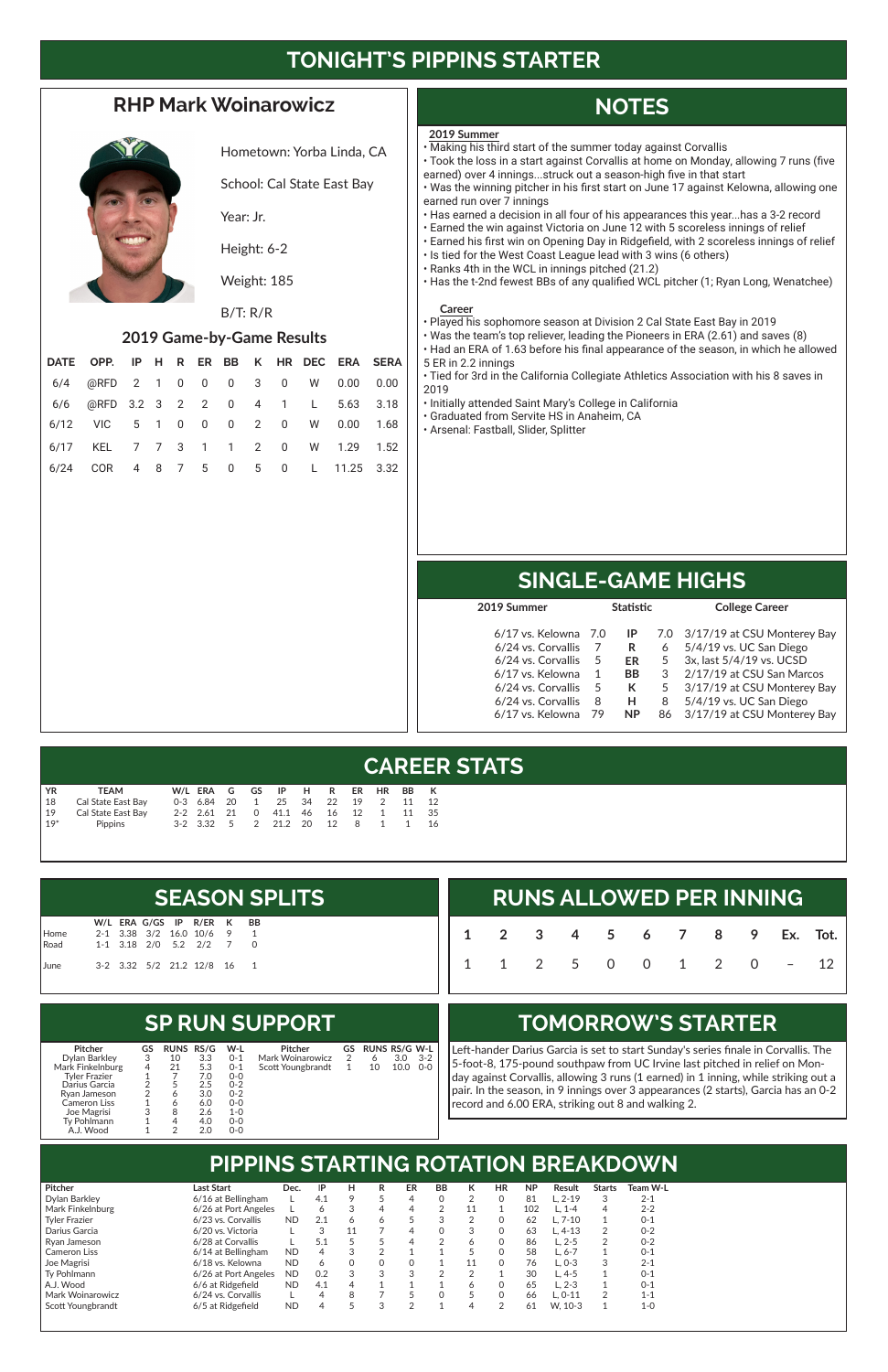# **TONIGHT'S PIPPINS STARTER**

### **RHP Mark Woinarowicz**



Hometown: Yorba Linda, CA

School: Cal State East Bay

Year: Jr.

Height: 6-2

Weight: 185

#### B/T: R/R

#### **2019 Game-by-Game Results**

| DATE OPP. IP H R ER BB K HR DEC ERA SERA |  |  |  |  |  |
|------------------------------------------|--|--|--|--|--|
| 6/4 @RFD 2 1 0 0 0 3 0 W 0.00 0.00       |  |  |  |  |  |
| 6/6 @RFD 3.2 3 2 2 0 4 1 L 5.63 3.18     |  |  |  |  |  |
| 6/12 VIC 5 1 0 0 0 2 0 W 0.00 1.68       |  |  |  |  |  |
| 6/17 KEL 7 7 3 1 1 2 0 W 1.29 1.52       |  |  |  |  |  |
| 6/24 COR 4 8 7 5 0 5 0 L 11.25 3.32      |  |  |  |  |  |

# **NOTES**

## **SINGLE-GAME HIGHS**

## **CAREER STATS**

## **PIPPINS STARTING ROTATION BREAKDOWN**

#### **SP RUN SUPPORT**

## **TOMORROW'S STARTER**

|  |  |  |  | <b>RUNS ALLOWED PER INNING</b> |  |
|--|--|--|--|--------------------------------|--|
|  |  |  |  | 1 2 3 4 5 6 7 8 9 Ex. Tot.     |  |
|  |  |  |  | $1 1 2 5 0 0 1 2 0 - 12$       |  |

Left-hander Darius Garcia is set to start Sunday's series finale in Corvallis. The 5-foot-8, 175-pound southpaw from UC Irvine last pitched in relief on Monday against Corvallis, allowing 3 runs (1 earned) in 1 inning, while striking out a pair. In the season, in 9 innings over 3 appearances (2 starts), Garcia has an 0-2 record and 6.00 ERA, striking out 8 and walking 2.

|  |  |                            | <b>SEASON SPLITS</b> |
|--|--|----------------------------|----------------------|
|  |  | W/L ERA G/GS IP R/ER K BB  |                      |
|  |  | 2-1 3.38 3/2 16.0 10/6 9 1 |                      |

|              |  |  | 2-1 3.38 3/2 16.0 10/6 9  | -1 |
|--------------|--|--|---------------------------|----|
| Home<br>Road |  |  | 1-1 3.18 2/0 5.2 2/2 7 0  |    |
| June         |  |  | 3-2 3.32 5/2 21.2 12/8 16 | -1 |

| YR             | <b>TEAM</b>        |  |  | W/LERAGGS IPHRER HRBBK        |  |     |                |    |       |
|----------------|--------------------|--|--|-------------------------------|--|-----|----------------|----|-------|
| $\frac{1}{18}$ | Cal State East Bay |  |  | 0-3 6.84 20 1 25 34 22 19 2   |  |     |                | 11 | 12    |
| $\vert$ 19     | Cal State East Bay |  |  | 2-2 2.61 21 0 41.1 46 16 12 1 |  |     |                |    | 11 35 |
| $19*$          | <b>Pippins</b>     |  |  | 3-2 3.32 5 2 21.2 20 12       |  | - 8 | $\overline{1}$ | 1  | 16    |

| Pitcher              | Last Start           | Dec.      | IP  | н | R | ER | <b>BB</b> | к  | HR          | <b>NP</b> | Result     | <b>Starts</b> | Team W-L |
|----------------------|----------------------|-----------|-----|---|---|----|-----------|----|-------------|-----------|------------|---------------|----------|
| Dvlan Barklev        | 6/16 at Bellingham   |           | 4.1 | 9 |   | 4  |           |    |             | 81        | L. 2-19    | 3             | $2 - 1$  |
| Mark Finkelnburg     | 6/26 at Port Angeles |           |     | 3 | 4 | 4  |           | 11 |             | 102       | L. 1-4     | 4             | $2 - 2$  |
| <b>Tyler Frazier</b> | 6/23 vs. Corvallis   | <b>ND</b> | 2.1 | 6 | 6 |    |           |    |             | 62        | L. 7-10    |               | $0 - 1$  |
| l Darius Garcia      | 6/20 vs. Victoria    |           |     |   |   | 4  |           | 3  |             | 63        | $L.4-13$   | 2             | $0 - 2$  |
| l Rvan Jameson       | 6/28 at Corvallis    |           | 5.1 |   |   | 4  |           | 6  | 0           | 86        | $L. 2 - 5$ | っ             | $0 - 2$  |
| Cameron Liss         | 6/14 at Bellingham   | <b>ND</b> |     | 3 | ົ |    |           |    | $\mathbf 0$ | 58        | $L. 6 - 7$ |               | $0 - 1$  |
| Joe Magrisi          | 6/18 vs. Kelowna     | <b>ND</b> | 6   | 0 | 0 | 0  |           | 11 | $\Omega$    | 76        | $L. 0-3$   | 3             | $2 - 1$  |
| l Tv Pohlmann        | 6/26 at Port Angeles | <b>ND</b> | 0.2 | 3 | 3 | 3  |           |    |             | 30        | $L.4-5$    |               | $0 - 1$  |
| A.J. Wood            | 6/6 at Ridgefield    | <b>ND</b> | 4.1 | 4 |   |    |           | 6  | 0           | 65        | L. 2-3     |               | $0 - 1$  |
| l Mark Woinarowicz   | 6/24 vs. Corvallis   |           |     | 8 |   |    |           |    | $\mathbf 0$ | 66        | $L. 0-11$  | っ             | $1 - 1$  |
| Scott Youngbrandt    | 6/5 at Ridgefield    | <b>ND</b> |     |   | 3 | ◠  |           | 4  | っ           | 61        | W. 10-3    |               | $1 - 0$  |

| 2019 Summer        |     | <b>Statistic</b> |    | <b>College Career</b>           |
|--------------------|-----|------------------|----|---------------------------------|
|                    |     | IP               |    |                                 |
| 6/17 vs. Kelowna   | 7.0 |                  |    | 7.0 3/17/19 at CSU Monterey Bay |
| 6/24 vs. Corvallis |     | R                | 6  | 5/4/19 vs. UC San Diego         |
| 6/24 vs. Corvallis | 5   | ER               | 5  | 3x, last 5/4/19 vs. UCSD        |
| 6/17 vs. Kelowna   | 1   | <b>BB</b>        | 3  | 2/17/19 at CSU San Marcos       |
| 6/24 vs. Corvallis | 5   | К                | 5  | 3/17/19 at CSU Monterey Bay     |
| 6/24 vs. Corvallis | 8   | н                | 8  | 5/4/19 vs. UC San Diego         |
| 6/17 vs. Kelowna   | 79  | <b>NP</b>        | 86 | 3/17/19 at CSU Monterey Bay     |
|                    |     |                  |    |                                 |

| <b>Pitcher</b>   | GS | <b>RUNS RS/G</b> |     | W-L     | Pitcher           | GS | <b>RUNS RS/G W-L</b> |      |         |
|------------------|----|------------------|-----|---------|-------------------|----|----------------------|------|---------|
| Dylan Barkley    | 3  | 10               | 3.3 | $0 - 1$ | Mark Woinarowicz  |    |                      | 3.0  | $3 - 2$ |
| Mark Finkelnburg | 4  | 21               | 5.3 | $0 - 1$ | Scott Youngbrandt |    | 10                   | 10.0 | $O-O$   |
| Tyler Frazier    |    |                  | 7.0 | $0 - 0$ |                   |    |                      |      |         |
| Darius Garcia    |    |                  | 2.5 | $0 - 2$ |                   |    |                      |      |         |
| Rvan Jameson     | 2  | 6                | 3.0 | $0 - 2$ |                   |    |                      |      |         |
| Cameron Liss     |    |                  | 6.0 | $0-0$   |                   |    |                      |      |         |
| Joe Magrisi      | 3  | 8                | 2.6 | 1-0     |                   |    |                      |      |         |
| Tv Pohlmann      |    |                  | 4.0 | $0-0$   |                   |    |                      |      |         |
| A.J. Wood        |    |                  | 2.0 | 0-0     |                   |    |                      |      |         |

#### **2019 Summer**

- Making his third start of the summer today against Corvallis
- Took the loss in a start against Corvallis at home on Monday, allowing 7 runs (five earned) over 4 innings...struck out a season-high five in that start
- Was the winning pitcher in his first start on June 17 against Kelowna, allowing one earned run over 7 innings
- Has earned a decision in all four of his appearances this year...has a 3-2 record
- Earned the win against Victoria on June 12 with 5 scoreless innings of relief
- Earned his first win on Opening Day in Ridgefield, with 2 scoreless innings of relief
- Is tied for the West Coast League lead with 3 wins (6 others)
- Ranks 4th in the WCL in innings pitched (21.2)
- Has the t-2nd fewest BBs of any qualified WCL pitcher (1; Ryan Long, Wenatchee)

#### **Career**

- Played his sophomore season at Division 2 Cal State East Bay in 2019
- Was the team's top reliever, leading the Pioneers in ERA (2.61) and saves (8)
- Had an ERA of 1.63 before his final appearance of the season, in which he allowed 5 ER in 2.2 innings
- Tied for 3rd in the California Collegiate Athletics Association with his 8 saves in 2019
- Initially attended Saint Mary's College in California
- Graduated from Servite HS in Anaheim, CA
- Arsenal: Fastball, Slider, Splitter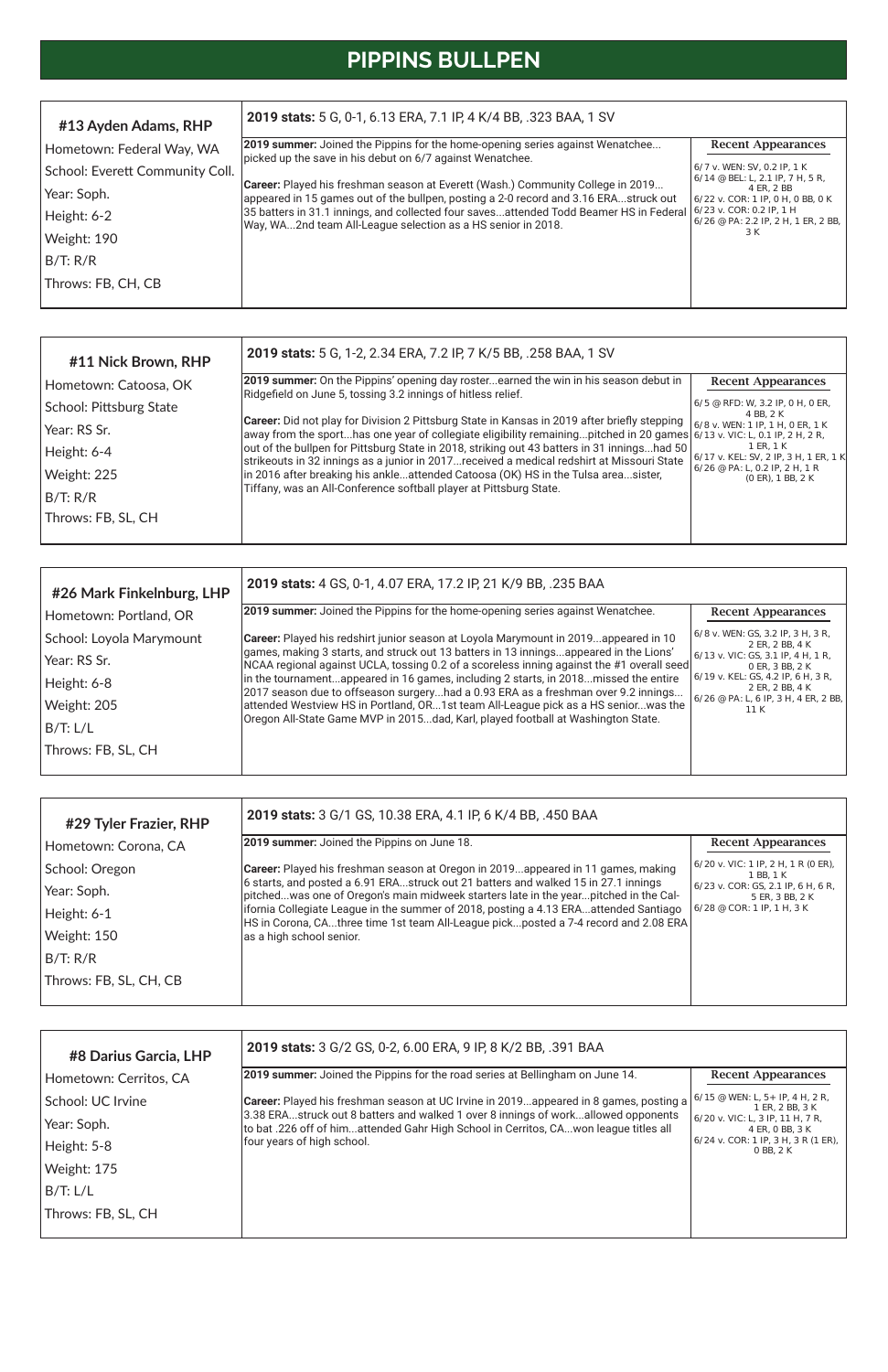# **PIPPINS BULLPEN**

| #11 Nick Brown, RHP     | <b>2019 stats:</b> 5 G, 1-2, 2.34 ERA, 7.2 IP, 7 K/5 BB, .258 BAA, 1 SV                                                                                                                                                    |                                                         |
|-------------------------|----------------------------------------------------------------------------------------------------------------------------------------------------------------------------------------------------------------------------|---------------------------------------------------------|
| Hometown: Catoosa, OK   | 2019 summer: On the Pippins' opening day rosterearned the win in his season debut in<br>Ridgefield on June 5, tossing 3.2 innings of hitless relief.                                                                       | <b>Recent Appearances</b>                               |
| School: Pittsburg State |                                                                                                                                                                                                                            | 6/5 @ RFD: W, 3.2 IP, 0 H, 0 ER,<br>4 BB, 2 K           |
| Year: RS Sr.            | Career: Did not play for Division 2 Pittsburg State in Kansas in 2019 after briefly stepping<br>away from the sporthas one year of collegiate eligibility remainingpitched in 20 games $6/13$ v. VIC: L, 0.1 IP, 2 H, 2 R, | 6/8 v. WEN: 1 IP, 1 H, 0 ER, 1 K                        |
| Height: 6-4             | out of the bullpen for Pittsburg State in 2018, striking out 43 batters in 31 inningshad 50<br>strikeouts in 32 innings as a junior in 2017received a medical redshirt at Missouri State                                   | 1 ER, 1 K<br>  6/17 v. KEL: SV, 2 IP, 3 H, 1 ER, 1 K    |
| Weight: 225             | in 2016 after breaking his ankleattended Catoosa (OK) HS in the Tulsa areasister,<br>Tiffany, was an All-Conference softball player at Pittsburg State.                                                                    | $6/26$ @ PA: L, 0.2 IP, 2 H, 1 R<br>$(0$ ER), 1 BB, 2 K |
| B/T: R/R                |                                                                                                                                                                                                                            |                                                         |
| Throws: FB, SL, CH      |                                                                                                                                                                                                                            |                                                         |

| #13 Ayden Adams, RHP            | 2019 stats: 5 G, 0-1, 6.13 ERA, 7.1 IP, 4 K/4 BB, .323 BAA, 1 SV                                                                                                               |                                                                         |
|---------------------------------|--------------------------------------------------------------------------------------------------------------------------------------------------------------------------------|-------------------------------------------------------------------------|
| Hometown: Federal Way, WA       | <b>2019 summer:</b> Joined the Pippins for the home-opening series against Wenatchee<br>picked up the save in his debut on 6/7 against Wenatchee.                              | <b>Recent Appearances</b>                                               |
| School: Everett Community Coll. |                                                                                                                                                                                | 6/7 v. WEN: SV, 0.2 IP, 1 K<br>$6/14 \otimes$ BEL: L, 2.1 IP, 7 H, 5 R, |
| Year: Soph.                     | <b>Career:</b> Played his freshman season at Everett (Wash.) Community College in 2019<br>appeared in 15 games out of the bullpen, posting a 2-0 record and 3.16 ERAstruck out | 4 ER. 2 BB<br>$6/22$ v. COR: 1 IP, 0 H, 0 BB, 0 K                       |
| Height: 6-2                     | 35 batters in 31.1 innings, and collected four savesattended Todd Beamer HS in Federal<br>Way, WA2nd team All-League selection as a HS senior in 2018.                         | $6/23$ v. COR: 0.2 IP, 1 H<br>$6/26$ @ PA: 2.2 IP, 2 H, 1 ER, 2 BB,     |
| Weight: 190                     |                                                                                                                                                                                | 3 K                                                                     |
| B/T: R/R                        |                                                                                                                                                                                |                                                                         |
| Throws: FB, CH, CB              |                                                                                                                                                                                |                                                                         |
|                                 |                                                                                                                                                                                |                                                                         |

| #29 Tyler Frazier, RHP | 2019 stats: 3 G/1 GS, 10.38 ERA, 4.1 IP, 6 K/4 BB, .450 BAA                                                                                                                  |                                                                                                       |
|------------------------|------------------------------------------------------------------------------------------------------------------------------------------------------------------------------|-------------------------------------------------------------------------------------------------------|
| Hometown: Corona, CA   | 2019 summer: Joined the Pippins on June 18.                                                                                                                                  | <b>Recent Appearances</b>                                                                             |
| School: Oregon         | <b>Career:</b> Played his freshman season at Oregon in 2019appeared in 11 games, making                                                                                      | $(6/20 \text{ v.} \text{ VIC: } 1 \text{ IP}, 2 \text{ H}, 1 \text{ R} (0 \text{ ER}),$<br>1 BB, 1 K  |
| Year: Soph.            | 6 starts, and posted a 6.91 ERAstruck out 21 batters and walked 15 in 27.1 innings<br>pitchedwas one of Oregon's main midweek starters late in the yearpitched in the Cal-   | $6/23$ v. COR: GS, 2.1 IP, 6 H, 6 R,<br>5 ER, 3 BB, 2 K<br>$6/28 \otimes \text{COR}$ : 1 IP, 1 H, 3 K |
| Height: 6-1            | lifornia Collegiate League in the summer of 2018, posting a 4.13 ERAattended Santiago<br>HS in Corona, CAthree time 1st team All-League pickposted a 7-4 record and 2.08 ERA |                                                                                                       |
| Weight: 150            | as a high school senior.                                                                                                                                                     |                                                                                                       |
| B/T: R/R               |                                                                                                                                                                              |                                                                                                       |
| Throws: FB, SL, CH, CB |                                                                                                                                                                              |                                                                                                       |

| #8 Darius Garcia, LHP  | 2019 stats: 3 G/2 GS, 0-2, 6.00 ERA, 9 IP, 8 K/2 BB, .391 BAA                                                                                                             |                                                                                                           |  |  |  |  |
|------------------------|---------------------------------------------------------------------------------------------------------------------------------------------------------------------------|-----------------------------------------------------------------------------------------------------------|--|--|--|--|
| Hometown: Cerritos, CA | <b>2019 summer:</b> Joined the Pippins for the road series at Bellingham on June 14.                                                                                      | <b>Recent Appearances</b>                                                                                 |  |  |  |  |
| School: UC Irvine      | <b>Career:</b> Played his freshman season at UC Irvine in 2019appeared in 8 games, posting a                                                                              | $6/15$ @ WEN: L, 5+ IP, 4 H, 2 R,<br>1 ER. 2 BB. 3 K                                                      |  |  |  |  |
| Year: Soph.            | 3.38 ERAstruck out 8 batters and walked 1 over 8 innings of workallowed opponents<br>to bat .226 off of himattended Gahr High School in Cerritos, CAwon league titles all | 6/20 v. VIC: L, 3 IP, 11 H, 7 R,<br>4 ER, 0 BB, 3 K<br>$6/24$ v. COR: 1 IP, 3 H, 3 R (1 ER),<br>0 BB, 2 K |  |  |  |  |
| Height: 5-8            | four years of high school.                                                                                                                                                |                                                                                                           |  |  |  |  |
| Weight: 175            |                                                                                                                                                                           |                                                                                                           |  |  |  |  |
| B/T: L/L               |                                                                                                                                                                           |                                                                                                           |  |  |  |  |
| Throws: FB, SL, CH     |                                                                                                                                                                           |                                                                                                           |  |  |  |  |

| #26 Mark Finkelnburg, LHP | 2019 stats: 4 GS, 0-1, 4.07 ERA, 17.2 IP, 21 K/9 BB, .235 BAA                                                                                                                        |                                                                                                                  |
|---------------------------|--------------------------------------------------------------------------------------------------------------------------------------------------------------------------------------|------------------------------------------------------------------------------------------------------------------|
| Hometown: Portland, OR    | 2019 summer: Joined the Pippins for the home-opening series against Wenatchee.                                                                                                       | <b>Recent Appearances</b>                                                                                        |
| School: Loyola Marymount  | Career: Played his redshirt junior season at Loyola Marymount in 2019appeared in 10                                                                                                  | 6/8 v. WEN: GS, 3.2 IP, 3 H, 3 R,<br>2 ER. 2 BB. 4 K                                                             |
| Year: RS Sr.              | games, making 3 starts, and struck out 13 batters in 13 inningsappeared in the Lions'<br>[NCAA regional against UCLA, tossing 0.2 of a scoreless inning against the #1 overall seed] | 6/13 v. VIC: GS, 3.1 IP, 4 H, 1 R,<br>0 ER, 3 BB, 2 K<br>$6/19$ v. KEL: GS, 4.2 IP, 6 H, 3 R,<br>2 ER, 2 BB, 4 K |
| Height: 6-8               | in the tournamentappeared in 16 games, including 2 starts, in 2018missed the entire<br>2017 season due to offseason surgeryhad a 0.93 ERA as a freshman over 9.2 innings             |                                                                                                                  |
| Weight: 205               | attended Westview HS in Portland, OR1st team All-League pick as a HS seniorwas the                                                                                                   | 6/26 @ PA: L, 6 IP, 3 H, 4 ER, 2 BB,<br>11 K                                                                     |
| B/T: L/L                  | Oregon All-State Game MVP in 2015dad, Karl, played football at Washington State.                                                                                                     |                                                                                                                  |
| Throws: FB, SL, CH        |                                                                                                                                                                                      |                                                                                                                  |
|                           |                                                                                                                                                                                      |                                                                                                                  |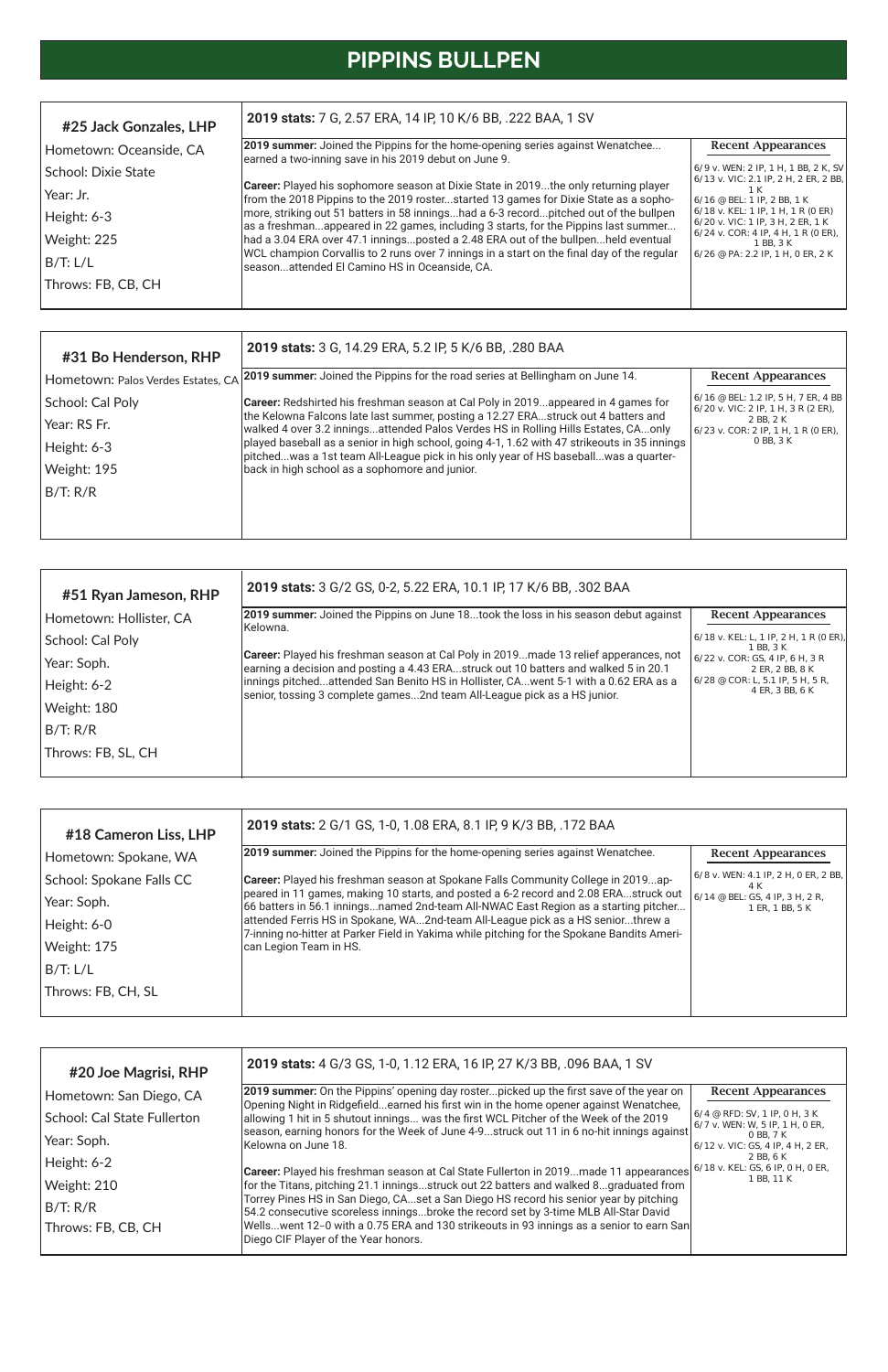# **PIPPINS BULLPEN**

| #31 Bo Henderson, RHP              | 2019 stats: 3 G, 14.29 ERA, 5.2 IP, 5 K/6 BB, .280 BAA                                                                                                                               |                                                                                                                               |
|------------------------------------|--------------------------------------------------------------------------------------------------------------------------------------------------------------------------------------|-------------------------------------------------------------------------------------------------------------------------------|
| Hometown: Palos Verdes Estates, CA | [2019 summer: Joined the Pippins for the road series at Bellingham on June 14.                                                                                                       | <b>Recent Appearances</b>                                                                                                     |
| School: Cal Poly                   | <b>Career:</b> Redshirted his freshman season at Cal Poly in 2019appeared in 4 games for                                                                                             | 6/16 @ BEL: 1.2 IP, 5 H, 7 ER, 4 BB<br>$(6/20 \text{ v.} \text{ VIC}: 2 \text{ IP.} 1 \text{ H.} 3 \text{ R} (2 \text{ ER}).$ |
| Year: RS Fr.                       | the Kelowna Falcons late last summer, posting a 12.27 ERAstruck out 4 batters and<br>walked 4 over 3.2 inningsattended Palos Verdes HS in Rolling Hills Estates, CAonly              | 2 BB, 2 K<br>$6/23$ v. COR: 2 IP, 1 H, 1 R (0 ER),                                                                            |
| Height: 6-3                        | played baseball as a senior in high school, going 4-1, 1.62 with 47 strikeouts in 35 innings<br> pitchedwas a 1st team All-League pick in his only year of HS baseballwas a quarter- | 0 BB, 3 K                                                                                                                     |
| Weight: 195                        | back in high school as a sophomore and junior.                                                                                                                                       |                                                                                                                               |
| B/T: R/R                           |                                                                                                                                                                                      |                                                                                                                               |
|                                    |                                                                                                                                                                                      |                                                                                                                               |
|                                    |                                                                                                                                                                                      |                                                                                                                               |

| #18 Cameron Liss, LHP    | 2019 stats: 2 G/1 GS, 1-0, 1.08 ERA, 8.1 IP, 9 K/3 BB, .172 BAA                                                                                                               |                                                            |
|--------------------------|-------------------------------------------------------------------------------------------------------------------------------------------------------------------------------|------------------------------------------------------------|
| Hometown: Spokane, WA    | [2019 summer: Joined the Pippins for the home-opening series against Wenatchee.                                                                                               | <b>Recent Appearances</b>                                  |
| School: Spokane Falls CC | <b>Career:</b> Played his freshman season at Spokane Falls Community College in 2019ap-                                                                                       | 6/8 v. WEN: 4.1 IP, 2 H, 0 ER, 2 BB,<br>4 K                |
| Year: Soph.              | peared in 11 games, making 10 starts, and posted a 6-2 record and 2.08 ERAstruck out<br>66 batters in 56.1 inningsnamed 2nd-team All-NWAC East Region as a starting pitcher   | $6/14 \otimes$ BEL: GS, 4 IP, 3 H, 2 R,<br>1 ER, 1 BB, 5 K |
| Height: 6-0              | attended Ferris HS in Spokane, WA2nd-team All-League pick as a HS seniorthrew a<br>7-inning no-hitter at Parker Field in Yakima while pitching for the Spokane Bandits Ameri- |                                                            |
| Weight: 175              | can Legion Team in HS.                                                                                                                                                        |                                                            |
| B/T: L/L                 |                                                                                                                                                                               |                                                            |
| Throws: FB, CH, SL       |                                                                                                                                                                               |                                                            |

| #20 Joe Magrisi, RHP        | 2019 stats: 4 G/3 GS, 1-0, 1.12 ERA, 16 IP, 27 K/3 BB, .096 BAA, 1 SV                                                                                                           |                                                                               |
|-----------------------------|---------------------------------------------------------------------------------------------------------------------------------------------------------------------------------|-------------------------------------------------------------------------------|
| Hometown: San Diego, CA     | 2019 summer: On the Pippins' opening day rosterpicked up the first save of the year on<br>Opening Night in Ridgefieldearned his first win in the home opener against Wenatchee, | <b>Recent Appearances</b>                                                     |
| School: Cal State Fullerton | allowing 1 hit in 5 shutout innings was the first WCL Pitcher of the Week of the 2019                                                                                           | $6/4 \text{ } @$ RFD: SV, 1 IP, 0 H, 3 K<br>$6/7$ v. WEN: W, 5 IP, 1 H, 0 ER, |
| Year: Soph.                 | season, earning honors for the Week of June 4-9struck out 11 in 6 no-hit innings against<br>IKelowna on June 18.                                                                | 0 BB, 7 K<br>$6/12$ v. VIC: GS, 4 IP, 4 H, 2 ER,                              |
| Height: 6-2                 | Career: Played his freshman season at Cal State Fullerton in 2019made 11 appearances                                                                                            | 2 BB, 6 K<br>$6/18$ v. KEL: GS, 6 IP, 0 H, 0 ER,                              |
| Weight: 210                 | for the Titans, pitching 21.1 inningsstruck out 22 batters and walked 8graduated from                                                                                           | 1 BB, 11 K                                                                    |
| B/T: R/R                    | Torrey Pines HS in San Diego, CAset a San Diego HS record his senior year by pitching<br>54.2 consecutive scoreless inningsbroke the record set by 3-time MLB All-Star David    |                                                                               |
| Throws: FB, CB, CH          | Wellswent 12-0 with a 0.75 ERA and 130 strikeouts in 93 innings as a senior to earn San<br>Diego CIF Player of the Year honors.                                                 |                                                                               |

| #25 Jack Gonzales, LHP  | 2019 stats: 7 G, 2.57 ERA, 14 IP, 10 K/6 BB, .222 BAA, 1 SV                                                                                                                        |                                                                                                                 |
|-------------------------|------------------------------------------------------------------------------------------------------------------------------------------------------------------------------------|-----------------------------------------------------------------------------------------------------------------|
| Hometown: Oceanside, CA | 2019 summer: Joined the Pippins for the home-opening series against Wenatchee<br>earned a two-inning save in his 2019 debut on June 9.                                             | <b>Recent Appearances</b>                                                                                       |
| School: Dixie State     |                                                                                                                                                                                    | 6/9 v. WEN: 2 IP, 1 H, 1 BB, 2 K, SV   <br>$6/13$ v. VIC: 2.1 IP, 2 H, 2 ER, 2 BB,                              |
| Year: Jr.               | <b>Career:</b> Played his sophomore season at Dixie State in 2019the only returning player<br>from the 2018 Pippins to the 2019 rosterstarted 13 games for Dixie State as a sopho- | 1 K<br>$6/16$ @ BEL: 1 IP, 2 BB, 1 K<br>6/18 v. KEL: 1 IP, 1 H, 1 R (0 ER)<br>6/20 v. VIC: 1 IP, 3 H, 2 ER, 1 K |
| Height: 6-3             | more, striking out 51 batters in 58 inningshad a 6-3 recordpitched out of the bullpen<br>las a freshmanappeared in 22 games, including 3 starts, for the Pippins last summer       |                                                                                                                 |
| Weight: 225             | had a 3.04 ERA over 47.1 inningsposted a 2.48 ERA out of the bullpenheld eventual                                                                                                  | $6/24$ v. COR: 4 IP, 4 H, 1 R (0 ER),<br>1 BB, 3 K                                                              |
| B/T: L/L                | WCL champion Corvallis to 2 runs over 7 innings in a start on the final day of the regular<br>seasonattended El Camino HS in Oceanside, CA.                                        | 6/26 @ PA: 2.2 IP, 1 H, 0 ER, 2 K                                                                               |
| Throws: FB, CB, CH      |                                                                                                                                                                                    |                                                                                                                 |

| #51 Ryan Jameson, RHP   | 2019 stats: 3 G/2 GS, 0-2, 5.22 ERA, 10.1 IP, 17 K/6 BB, .302 BAA                                                                                                                  |                                                                                            |
|-------------------------|------------------------------------------------------------------------------------------------------------------------------------------------------------------------------------|--------------------------------------------------------------------------------------------|
| Hometown: Hollister, CA | 2019 summer: Joined the Pippins on June 18took the loss in his season debut against<br>lKelowna.                                                                                   | <b>Recent Appearances</b>                                                                  |
| School: Cal Poly        |                                                                                                                                                                                    | 6/18 v. KEL: L, 1 IP, 2 H, 1 R (0 ER), <br>1 BB, 3 K                                       |
| Year: Soph.             | <b>Career:</b> Played his freshman season at Cal Poly in 2019made 13 relief apperances, not<br>earning a decision and posting a 4.43 ERAstruck out 10 batters and walked 5 in 20.1 | 6/22 v. COR: GS, 4 IP, 6 H, 3 R<br>2 ER, 2 BB, 8 K                                         |
| Height: 6-2             | innings pitchedattended San Benito HS in Hollister, CAwent 5-1 with a 0.62 ERA as a<br>senior, tossing 3 complete games2nd team All-League pick as a HS junior.                    | $6/28 \otimes \text{COR: L}, 5.1 \text{ IP}, 5 \text{ H}, 5 \text{ R},$<br>4 ER, 3 BB, 6 K |
| Weight: 180             |                                                                                                                                                                                    |                                                                                            |
| B/T: R/R                |                                                                                                                                                                                    |                                                                                            |
| Throws: FB, SL, CH      |                                                                                                                                                                                    |                                                                                            |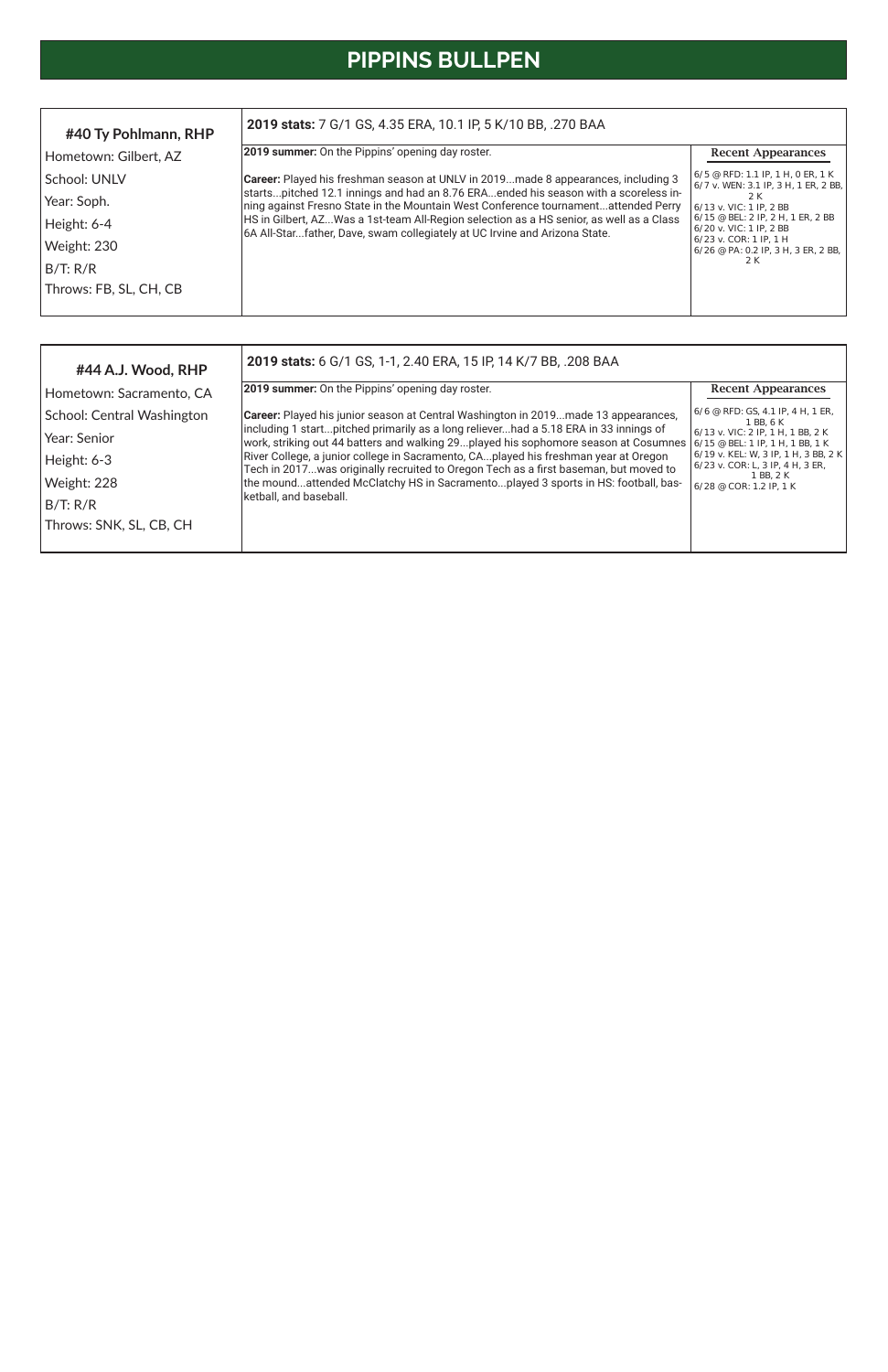# **PIPPINS BULLPEN**

| #44 A.J. Wood, RHP         | 2019 stats: 6 G/1 GS, 1-1, 2.40 ERA, 15 IP, 14 K/7 BB, .208 BAA                                                                                                                                                               |                                                                                                                                                           |
|----------------------------|-------------------------------------------------------------------------------------------------------------------------------------------------------------------------------------------------------------------------------|-----------------------------------------------------------------------------------------------------------------------------------------------------------|
| Hometown: Sacramento, CA   | <b>2019 summer:</b> On the Pippins' opening day roster.                                                                                                                                                                       | <b>Recent Appearances</b>                                                                                                                                 |
| School: Central Washington | Career: Played his junior season at Central Washington in 2019made 13 appearances,                                                                                                                                            | 6/6 @ RFD: GS, 4.1 IP, 4 H, 1 ER,<br>1 BB, 6 K                                                                                                            |
| Year: Senior               | including 1 startpitched primarily as a long relieverhad a 5.18 ERA in 33 innings of<br>work, striking out 44 batters and walking 29played his sophomore season at Cosumnes $6/15 \text{ }^{\circ}$ BEL: 1 IP, 1 H, 1 BB, 1 K | $6/13$ v. VIC: 2 IP, 1 H, 1 BB, 2 K<br>6/19 v. KEL: W, 3 IP, 1 H, 3 BB, 2 K<br>$6/23$ v. COR: L, 3 IP, 4 H, 3 ER,<br>1 BB, 2 K<br>6/28 @ COR: 1.2 IP, 1 K |
| Height: 6-3                | River College, a junior college in Sacramento, CAplayed his freshman year at Oregon<br>Tech in 2017was originally recruited to Oregon Tech as a first baseman, but moved to                                                   |                                                                                                                                                           |
| Weight: 228                | the moundattended McClatchy HS in Sacramentoplayed 3 sports in HS: football, bas-                                                                                                                                             |                                                                                                                                                           |
| B/T: R/R                   | ketball, and baseball.                                                                                                                                                                                                        |                                                                                                                                                           |
| Throws: SNK, SL, CB, CH    |                                                                                                                                                                                                                               |                                                                                                                                                           |
|                            |                                                                                                                                                                                                                               |                                                                                                                                                           |

| #40 Ty Pohlmann, RHP   | 2019 stats: 7 G/1 GS, 4.35 ERA, 10.1 IP, 5 K/10 BB, .270 BAA                                                                                                              |                                                                                                    |
|------------------------|---------------------------------------------------------------------------------------------------------------------------------------------------------------------------|----------------------------------------------------------------------------------------------------|
| Hometown: Gilbert, AZ  | <b>2019 summer:</b> On the Pippins' opening day roster.                                                                                                                   | <b>Recent Appearances</b>                                                                          |
| School: UNLV           | Career: Played his freshman season at UNLV in 2019made 8 appearances, including 3                                                                                         | 6/5 @ RFD: 1.1 IP, 1 H, 0 ER, 1 K<br>6/7 v. WEN: 3.1 IP, 3 H, 1 ER, 2 BB,                          |
| Year: Soph.            | startspitched 12.1 innings and had an 8.76 ERAended his season with a scoreless in-<br>ning against Fresno State in the Mountain West Conference tournamentattended Perry | 2 K<br>6/13 v. VIC: 1 IP, 2 BB<br>$6/15$ @ BEL: 2 IP, 2 H, 1 ER, 2 BB<br>$6/20$ v. VIC: 1 IP, 2 BB |
| Height: 6-4            | HS in Gilbert, AZWas a 1st-team All-Region selection as a HS senior, as well as a Class<br>6A All-Starfather, Dave, swam collegiately at UC Irvine and Arizona State.     |                                                                                                    |
| Weight: 230            |                                                                                                                                                                           | $6/23$ v. COR: 1 IP, 1 H<br>$6/26$ @ PA: 0.2 IP, 3 H, 3 ER, 2 BB,                                  |
| B/T: R/R               |                                                                                                                                                                           | 2 K                                                                                                |
| Throws: FB, SL, CH, CB |                                                                                                                                                                           |                                                                                                    |
|                        |                                                                                                                                                                           |                                                                                                    |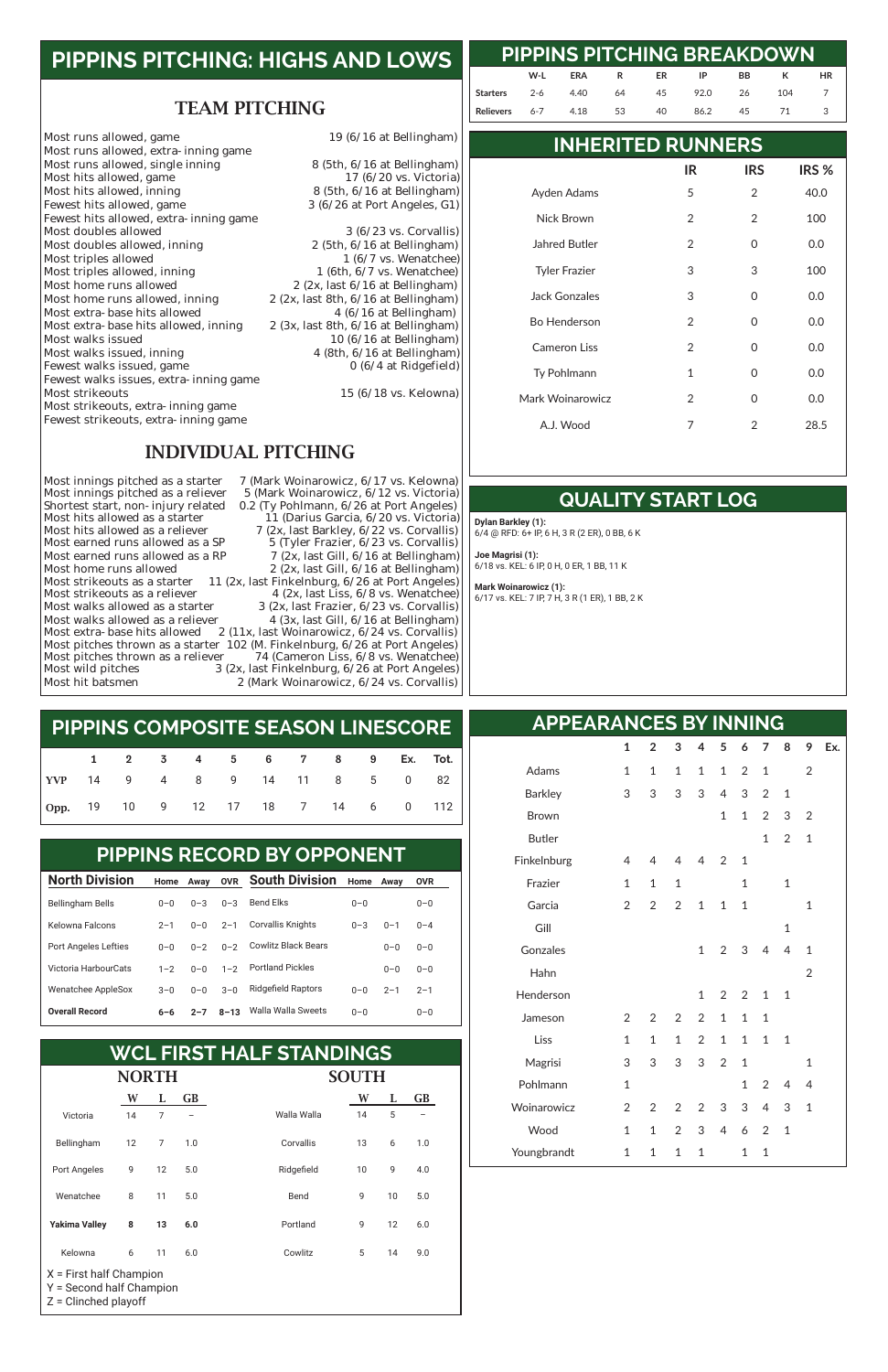#### TEAM PITCHING

Most runs allowed, game<br>
19 (6/16 at Bellingham) Most runs allowed, extra-inning game Most runs allowed, single inning 8 (5th, 6/16 at Bellingham)<br>Most hits allowed, game 17 (6/20 vs. Victoria) Most hits allowed, game<br>Most hits allowed, inning Most hits allowed, inning 8 (5th, 6/16 at Bellingham)<br>Fewest hits allowed, game 3 (6/26 at Port Angeles, G1) Fewest hits allowed, extra-inning game<br>Most doubles allowed Most doubles allowed, inning 2 (5th, 6/16 at Bellingham)<br>Most triples allowed 1 (6/7 vs. Wenatchee) Most triples allowed<br>  $\begin{array}{ccc}\n 1 & (6/7 \text{ vs. } \text{Wenatchee}) \\
 \text{Most triples allowed, inning} & 1 & (6th, 6/7 \text{ vs. } \text{Wenatchee})\n \end{array}$ Most triples allowed, inning<br>Most home runs allowed Most home runs allowed<br>Most home runs allowed, inning  $2 (2x, \text{last } 6/16 \text{ at Bellingham})$ <br> $2 (2x, \text{last } 8th, 6/16 \text{ at Bellingham})$ Most extra-base hits allowed  $\begin{array}{r} 4 \ (6/16 \text{ at Bellingham}) \\ \text{Most extra-base hits allowed, inning} \end{array}$  2 (3x, last 8th, 6/16 at Bellingham) Most extra-base hits allowed, inning<br>Most walks issued Most walks issued 10 (6/16 at Bellingham)<br>Most walks issued, inning 10 (6/16 at Bellingham) Fewest walks issued, game Fewest walks issues, extra-inning game Most strikeouts, extra-inning game Fewest strikeouts, extra-inning game

 $3 (6/26$  at Port Angeles, G1)

 $3(6/23 \text{ vs. Corvallis})$ <br>2 (5th,  $6/16$  at Bellingham) 2 (2x, last 8th,  $6/16$  at Bellingham)<br>4 ( $6/16$  at Bellingham) 4 (8th,  $6/16$  at Bellingham)<br>0 (6/4 at Ridgefield)

 $15 (6/18 \text{ vs.}$  Kelowna)

#### INDIVIDUAL PITCHING

Most innings pitched as a starter 7 (Mark Woinarowicz, 6/17 vs. Kelowna)<br>Most innings pitched as a reliever 5 (Mark Woinarowicz, 6/12 vs. Victoria) 5 (Mark Woinarowicz, 6/12 vs. Victoria) Shortest start, non-injury related 0.2 (Ty Pohlmann, 6/26 at Port Angeles)<br>Most hits allowed as a starter 11 (Darius Garcia, 6/20 vs. Victoria) Most hits allowed as a starter 11 (Darius Garcia, 6/20 vs. Victoria)<br>Most hits allowed as a reliever 7 (2x, last Barkley, 6/22 vs. Corvallis) Most hits allowed as a reliever  $\frac{7 (2x)}{5 (T \text{V} \cdot \text{F} \cdot \text{F} \cdot \text{F} \cdot \text{F} \cdot \text{F} \cdot \text{F} \cdot \text{F} \cdot \text{F} \cdot \text{F} \cdot \text{F} \cdot \text{F} \cdot \text{F} \cdot \text{F} \cdot \text{F} \cdot \text{F} \cdot \text{F} \cdot \text{F} \cdot \text{F} \cdot \text{F} \cdot \text{F} \cdot \text{F} \cdot \text{F} \cdot \text{F} \cdot \text{F} \cdot \text$ Most earned runs allowed as a SP  $\qquad \qquad$  5 (Tyler Frazier, 6/23 vs. Corvallis)<br>Most earned runs allowed as a RP  $\qquad \qquad$  7 (2x. last Gill. 6/16 at Bellingham) Most earned runs allowed as a RP  $\qquad \qquad$  7 (2x, last Gill, 6/16 at Bellingham)<br>Most home runs allowed  $\qquad \qquad$  2 (2x, last Gill, 6/16 at Bellingham)  $2$  (2x, last Gill,  $6/16$  at Bellingham) Most strikeouts as a starter 11 (2x, last Finkelnburg,  $6/26$  at Port Angeles)<br>Most strikeouts as a reliever 4 (2x, last Liss,  $6/8$  vs. Wenatchee) Most strikeouts as a reliever  $\begin{array}{r} 4 (2x, last \text{ Liss, } 6/8 \text{ vs.} \text{ Wenatchee}) \\ \text{Most walks allowed as a starter} \end{array}$ Most walks allowed as a starter  $\begin{array}{r} 3 \text{ (2x, last Frazier, 6/23 vs. Corvallis)} \\ \text{Most walks allowed as a reliever} \end{array}$  4 (3x. last Gill. 6/16 at Bellingham) 4 (3x, last Gill,  $6/16$  at Bellingham) Most extra-base hits allowed  $2(11x, last Woinarowicz, 6/24 vs. Corvallis)$ Most pitches thrown as a starter 102 (M. Finkelnburg, 6/26 at Port Angeles)<br>Most pitches thrown as a reliever 74 (Cameron Liss, 6/8 vs. Wenatchee) Most pitches thrown as a reliever  $74$  (Cameron Liss,  $6/8$  vs. Wenatchee)<br>Most wild pitches  $3$  (2x, last Finkelnburg,  $6/26$  at Port Angeles) Most wild pitches 3 (2x, last Finkelnburg, 6/26 at Port Angeles)<br>Most hit batsmen 2 (Mark Woinarowicz, 6/24 vs. Corvallis)  $2$  (Mark Woinarowicz,  $6/24$  vs. Corvallis)

# **PIPPINS PITCHING: HIGHS AND LOWS**

|                                    |  |  |  | 1 2 3 4 5 6 7 8 9 Ex. Tot. |  |  |
|------------------------------------|--|--|--|----------------------------|--|--|
| YVP 14 9 4 8 9 14 11 8 5 0 82      |  |  |  |                            |  |  |
| Opp. 19 10 9 12 17 18 7 14 6 0 112 |  |  |  |                            |  |  |

#### **PIPPINS COMPOSITE SEASON LINESCORE**

| <b>North Division</b>       | Home    | Away    | <b>OVR</b> | <b>South Division</b>      | Home    | Away    | <b>OVR</b> |  |
|-----------------------------|---------|---------|------------|----------------------------|---------|---------|------------|--|
| <b>Bellingham Bells</b>     | $0 - 0$ | $0 - 3$ | $0 - 3$    | <b>Bend Elks</b>           | $0 - 0$ |         | $0 - 0$    |  |
| Kelowna Falcons             | $2 - 1$ | $0 - 0$ | $2 - 1$    | <b>Corvallis Knights</b>   | $0 - 3$ | $0 - 1$ | $0 - 4$    |  |
| <b>Port Angeles Lefties</b> | $0 - 0$ | $0 - 2$ | $0 - 2$    | <b>Cowlitz Black Bears</b> |         | $0 - 0$ | $0 - 0$    |  |
| Victoria HarbourCats        | $1 - 2$ | $0 - 0$ | $1 - 2$    | <b>Portland Pickles</b>    |         | $0 - 0$ | $0 - 0$    |  |
| <b>Wenatchee AppleSox</b>   | $3 - 0$ | $0 - 0$ | $3 - 0$    | <b>Ridgefield Raptors</b>  | $0 - 0$ | $2 - 1$ | $2 - 1$    |  |
|                             |         |         |            |                            |         |         |            |  |

#### PIPPINS RECORD BY OPPONENT **PIPPINS RECORD BY OPPONENT**

#### 0–0 0–0

| <b>NORTH</b>                                                                    |    |    |           | <b>SOUTH</b> |    |    |           |  |  |  |
|---------------------------------------------------------------------------------|----|----|-----------|--------------|----|----|-----------|--|--|--|
|                                                                                 | W  | L  | <b>GB</b> |              | W  | L  | <b>GB</b> |  |  |  |
| Victoria                                                                        | 14 | 7  |           | Walla Walla  | 14 | 5  |           |  |  |  |
| Bellingham                                                                      | 12 | 7  | 1.0       | Corvallis    | 13 | 6  | 1.0       |  |  |  |
| Port Angeles                                                                    | 9  | 12 | 5.0       | Ridgefield   | 10 | 9  | 4.0       |  |  |  |
| Wenatchee                                                                       | 8  | 11 | 5.0       | Bend         | 9  | 10 | 5.0       |  |  |  |
| <b>Yakima Valley</b>                                                            | 8  | 13 | 6.0       | Portland     | 9  | 12 | 6.0       |  |  |  |
| Kelowna                                                                         | 6  | 11 | 6.0       | Cowlitz      | 5  | 14 | 9.0       |  |  |  |
| $X =$ First half Champion<br>Y = Second half Champion<br>$Z =$ Clinched playoff |    |    |           |              |    |    |           |  |  |  |

| <b>WCL FIRST HALF STANDINGS</b> |  |
|---------------------------------|--|
|---------------------------------|--|

## **PIPPINS PITCHING BREAKDOWN**

#### **INHERITED RUNNERS**

**QUALITY START LOG**

### **APPEARANCES BY INNING**

**W-L ERA R ER IP BB K HR**

**Starters** 2-6 4.40 64 45 92.0 26 104 7 **Relievers** 6-7 4.18 53 40 86.2 45 71 3

|                      | IR            | <b>IRS</b> | IRS <sub>%</sub> |
|----------------------|---------------|------------|------------------|
| Ayden Adams          | 5             | 2          | 40.0             |
| Nick Brown           | 2             | 2          | 100              |
| <b>Jahred Butler</b> | 2             | 0          | 0.0              |
| <b>Tyler Frazier</b> | 3             | 3          | 100              |
| Jack Gonzales        | 3             | 0          | 0.0              |
| <b>Bo Henderson</b>  | $\mathcal{P}$ | 0          | 0.0              |
| Cameron Liss         | 2             | 0          | 0.0              |
| Ty Pohlmann          | 1             | 0          | 0.0              |
| Mark Woinarowicz     | 2             | O          | 0.0              |
| A.J. Wood            | 7             | 2          | 28.5             |

|                | 1             | $\overline{2}$ | 3            | $\overline{4}$ | $5^{\circ}$  | 6 7                      |                | 8              | 9              | Ex. |
|----------------|---------------|----------------|--------------|----------------|--------------|--------------------------|----------------|----------------|----------------|-----|
| Adams          | 1             | 1              | $\mathbf{1}$ | $\mathbf{1}$   |              | $1 \quad 2 \quad 1$      |                |                | $\overline{2}$ |     |
| <b>Barkley</b> | 3             | 3              | 3            | 3              | 4            | 3 <sup>7</sup>           | $\overline{2}$ | $\mathbf{1}$   |                |     |
| <b>Brown</b>   |               |                |              |                | 1            | 1                        | $\overline{2}$ | 3              | $\overline{2}$ |     |
| <b>Butler</b>  |               |                |              |                |              |                          | $\mathbf{1}$   | $\overline{2}$ | 1              |     |
| Finkelnburg    | 4             | 4              | 4            | $\overline{4}$ | 2            | $\overline{\phantom{0}}$ |                |                |                |     |
| Frazier        | 1             | 1              | $\mathbf{1}$ |                |              | 1                        |                | 1              |                |     |
| Garcia         | $\mathcal{P}$ | 2              | 2            | $\mathbf{1}$   | $\mathbf{1}$ | 1                        |                |                | 1              |     |
| Gill           |               |                |              |                |              |                          |                | $\mathbf{1}$   |                |     |
| Gonzales       |               |                |              | $\mathbf{1}$   |              | $2 \quad 3$              | $\overline{4}$ | 4              | 1              |     |
| Hahn           |               |                |              |                |              |                          |                |                | 2              |     |
| Henderson      |               |                |              | 1              | 2            | 2                        | 1              | 1              |                |     |

| Jameson     | 2 |                 | 2 2 2 1 1 1   |             |   |                |                 |                          |
|-------------|---|-----------------|---------------|-------------|---|----------------|-----------------|--------------------------|
| Liss        | 1 | $\mathbf{1}$    |               | 1 2 1 1 1 1 |   |                |                 |                          |
| Magrisi     | 3 | $3 -$           |               | 3 3 2 1     |   |                |                 |                          |
| Pohlmann    | 1 |                 |               |             |   |                | $1 \t2 \t4 \t4$ |                          |
| Woinarowicz |   | 2 2 2 2 3 3 4 3 |               |             |   |                |                 | $\overline{\phantom{0}}$ |
| Wood        | 1 |                 | 1 2 3 4 6 2 1 |             |   |                |                 |                          |
| Youngbrandt | 1 | 1               | 1 1           |             | 1 | $\overline{1}$ |                 |                          |

**Dylan Barkley (1):** 

#### 6/4 @ RFD: 6+ IP, 6 H, 3 R (2 ER), 0 BB, 6 K

**Joe Magrisi (1):** 6/18 vs. KEL: 6 IP, 0 H, 0 ER, 1 BB, 11 K

**Mark Woinarowicz (1):** 6/17 vs. KEL: 7 IP, 7 H, 3 R (1 ER), 1 BB, 2 K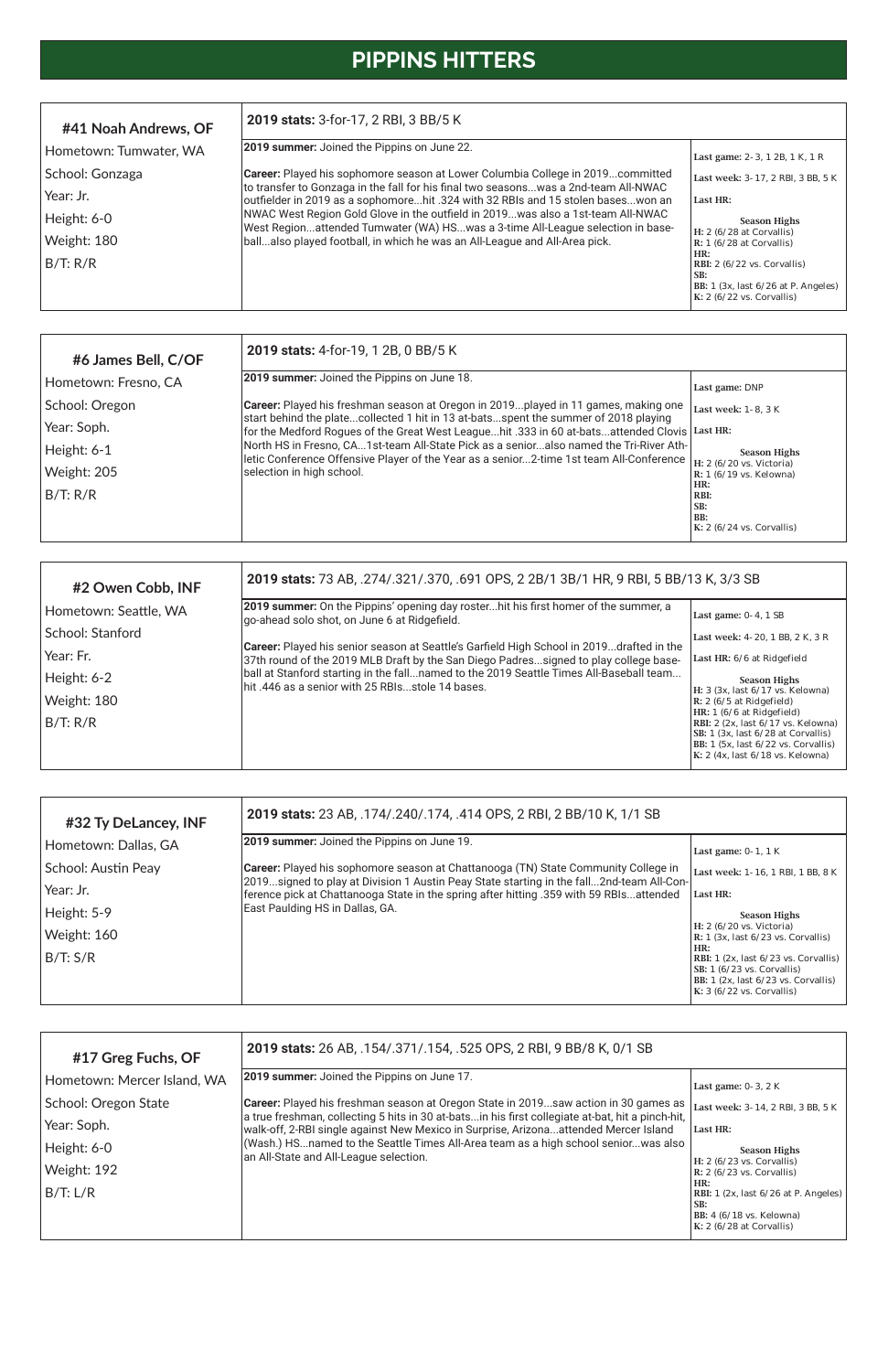# **PIPPINS HITTERS**

| #2 Owen Cobb, INF     | 2019 stats: 73 AB, .274/.321/.370, .691 OPS, 2 2B/1 3B/1 HR, 9 RBI, 5 BB/13 K, 3/3 SB                                                                                            |                                                                                                                                                                                                        |
|-----------------------|----------------------------------------------------------------------------------------------------------------------------------------------------------------------------------|--------------------------------------------------------------------------------------------------------------------------------------------------------------------------------------------------------|
| Hometown: Seattle, WA | 2019 summer: On the Pippins' opening day rosterhit his first homer of the summer, a<br>go-ahead solo shot, on June 6 at Ridgefield.                                              | Last game: 0-4, 1 SB                                                                                                                                                                                   |
| School: Stanford      |                                                                                                                                                                                  | Last week: 4-20, 1 BB, 2 K, 3 R                                                                                                                                                                        |
| Year: Fr.             | Career: Played his senior season at Seattle's Garfield High School in 2019drafted in the<br>37th round of the 2019 MLB Draft by the San Diego Padressigned to play college base- | Last HR: 6/6 at Ridgefield                                                                                                                                                                             |
| Height: 6-2           | ball at Stanford starting in the fallnamed to the 2019 Seattle Times All-Baseball team<br>lhit .446 as a senior with 25 RBIs…stole 14 bases.                                     | <b>Season Highs</b>                                                                                                                                                                                    |
| Weight: 180           |                                                                                                                                                                                  | H: 3 (3x, last 6/17 vs. Kelowna)<br>$\mathbb{R}$ : 2 (6/5 at Ridgefield)                                                                                                                               |
| B/T: R/R              |                                                                                                                                                                                  | HR: 1 (6/6 at Ridgefield)<br>RBI: 2 $(2x, \text{last } 6/17 \text{ vs. Kelowna})$<br>SB: 1 (3x, last 6/28 at Corvallis)<br> BB: 1 (5x, last 6/22 vs. Corvallis) <br>$K: 2$ (4x, last 6/18 vs. Kelowna) |

| #17 Greg Fuchs, OF          | 2019 stats: 26 AB, .154/.371/.154, .525 OPS, 2 RBI, 9 BB/8 K, 0/1 SB                                                                                                                     |                                                                                                                                                  |
|-----------------------------|------------------------------------------------------------------------------------------------------------------------------------------------------------------------------------------|--------------------------------------------------------------------------------------------------------------------------------------------------|
| Hometown: Mercer Island, WA | 2019 summer: Joined the Pippins on June 17.                                                                                                                                              | Last game: $0-3$ , $2K$                                                                                                                          |
| School: Oregon State        | <b>Career:</b> Played his freshman season at Oregon State in 2019saw action in 30 games as                                                                                               | Last week: 3-14, 2 RBI, 3 BB, 5 K                                                                                                                |
| Year: Soph.                 | a true freshman, collecting 5 hits in 30 at-batsin his first collegiate at-bat, hit a pinch-hit,<br>walk-off, 2-RBI single against New Mexico in Surprise, Arizonaattended Mercer Island | Last HR:                                                                                                                                         |
| Height: 6-0                 | (Wash.) HSnamed to the Seattle Times All-Area team as a high school seniorwas also<br>an All-State and All-League selection.                                                             | <b>Season Highs</b>                                                                                                                              |
| Weight: 192                 |                                                                                                                                                                                          | $H: 2 (6/23 \text{ vs. Corvallis})$<br>$\mathbb{R}$ : 2 (6/23 vs. Corvallis)                                                                     |
| B/T: L/R                    |                                                                                                                                                                                          | HR:<br>RBI: 1 $(2x, \text{ last } 6/26 \text{ at } P. \text{ Angeles})$<br>SB:<br>BB: $4(6/18 \text{ vs.}$ Kelowna)<br>$K: 2(6/28$ at Corvallis) |

| #6 James Bell, C/OF  | 2019 stats: 4-for-19, 1 2B, 0 BB/5 K                                                                                                                                                 |                                                                         |
|----------------------|--------------------------------------------------------------------------------------------------------------------------------------------------------------------------------------|-------------------------------------------------------------------------|
| Hometown: Fresno, CA | <b>2019 summer:</b> Joined the Pippins on June 18.                                                                                                                                   | Last game: DNP                                                          |
| School: Oregon       | <b>Career:</b> Played his freshman season at Oregon in 2019played in 11 games, making one                                                                                            | Last week: 1-8.3 K                                                      |
| Year: Soph.          | start behind the platecollected 1 hit in 13 at-batsspent the summer of 2018 playing<br>for the Medford Rogues of the Great West Leaguehit .333 in 60 at-batsattended Clovis Last HR: |                                                                         |
| Height: 6-1          | North HS in Fresno, CA1st-team All-State Pick as a senioralso named the Tri-River Ath-<br>letic Conference Offensive Player of the Year as a senior2-time 1st team All-Conference    | <b>Season Highs</b>                                                     |
| Weight: 205          | selection in high school.                                                                                                                                                            | H: 2 $(6/20 \text{ vs. Victoria})$<br>$R: 1 (6/19 \text{ vs.}$ Kelowna) |
| B/T: R/R             |                                                                                                                                                                                      | HR:<br>RBI:                                                             |
|                      |                                                                                                                                                                                      | SB:<br>BB:<br>$K: 2(6/24 \text{ vs. Corvallis})$                        |

| #32 Ty DeLancey, INF | 2019 stats: 23 AB, .174/.240/.174, .414 OPS, 2 RBI, 2 BB/10 K, 1/1 SB                                                                                                                  |                                                                                                                                                                         |
|----------------------|----------------------------------------------------------------------------------------------------------------------------------------------------------------------------------------|-------------------------------------------------------------------------------------------------------------------------------------------------------------------------|
| Hometown: Dallas, GA | 2019 summer: Joined the Pippins on June 19.                                                                                                                                            | Last game: $0-1$ , 1 K                                                                                                                                                  |
| School: Austin Peay  | <b>Career:</b> Played his sophomore season at Chattanooga (TN) State Community College in<br>[2019signed to play at Division 1 Austin Peay State starting in the fall2nd-team All-Con- | Last week: 1-16, 1 RBI, 1 BB, 8 K                                                                                                                                       |
| Year: Jr.            | ference pick at Chattanooga State in the spring after hitting .359 with 59 RBIsattended                                                                                                | Last HR:                                                                                                                                                                |
| Height: 5-9          | East Paulding HS in Dallas, GA.                                                                                                                                                        | <b>Season Highs</b>                                                                                                                                                     |
| Weight: 160          |                                                                                                                                                                                        | H: 2 (6/20 vs. Victoria)<br>$\mathbb{R}: 1 \times 1$ (3x, last $6/23$ vs. Corvallis)                                                                                    |
| B/T: S/R             |                                                                                                                                                                                        | HR:<br>RBI: $1$ (2x, last $6/23$ vs. Corvallis)<br>SB: $1(6/23 \text{ vs. Corvallis})$<br>BB: $1$ (2x, last $6/23$ vs. Corvallis)<br>K: $3(6/22 \text{ vs. Corvallis})$ |

| #41 Noah Andrews, OF   | 2019 stats: 3-for-17, 2 RBI, 3 BB/5 K                                                                                                                                   |                                                                                                                             |  |  |  |  |  |
|------------------------|-------------------------------------------------------------------------------------------------------------------------------------------------------------------------|-----------------------------------------------------------------------------------------------------------------------------|--|--|--|--|--|
| Hometown: Tumwater, WA | 2019 summer: Joined the Pippins on June 22.                                                                                                                             | Last game: 2-3, 1 2B, 1 K, 1 R                                                                                              |  |  |  |  |  |
| School: Gonzaga        | <b>Career:</b> Played his sophomore season at Lower Columbia College in 2019committed                                                                                   | Last week: 3-17, 2 RBI, 3 BB, 5 K                                                                                           |  |  |  |  |  |
| Year: Jr.              | to transfer to Gonzaga in the fall for his final two seasonswas a 2nd-team All-NWAC<br>outfielder in 2019 as a sophomorehit .324 with 32 RBIs and 15 stolen baseswon an | Last HR:                                                                                                                    |  |  |  |  |  |
| Height: 6-0            | NWAC West Region Gold Glove in the outfield in 2019was also a 1st-team All-NWAC<br>West Regionattended Tumwater (WA) HSwas a 3-time All-League selection in base-       | <b>Season Highs</b>                                                                                                         |  |  |  |  |  |
| Weight: 180            | ballalso played football, in which he was an All-League and All-Area pick.                                                                                              | H: $2(6/28$ at Corvallis)<br>$R: 1 (6/28$ at Corvallis)                                                                     |  |  |  |  |  |
| B/T: R/R               |                                                                                                                                                                         | HR:<br>RBI: 2 (6/22 vs. Corvallis)<br>SB:<br>BB: $1$ (3x, last $6/26$ at P. Angeles)<br>$K: 2 (6/22 \text{ vs. Corvallis})$ |  |  |  |  |  |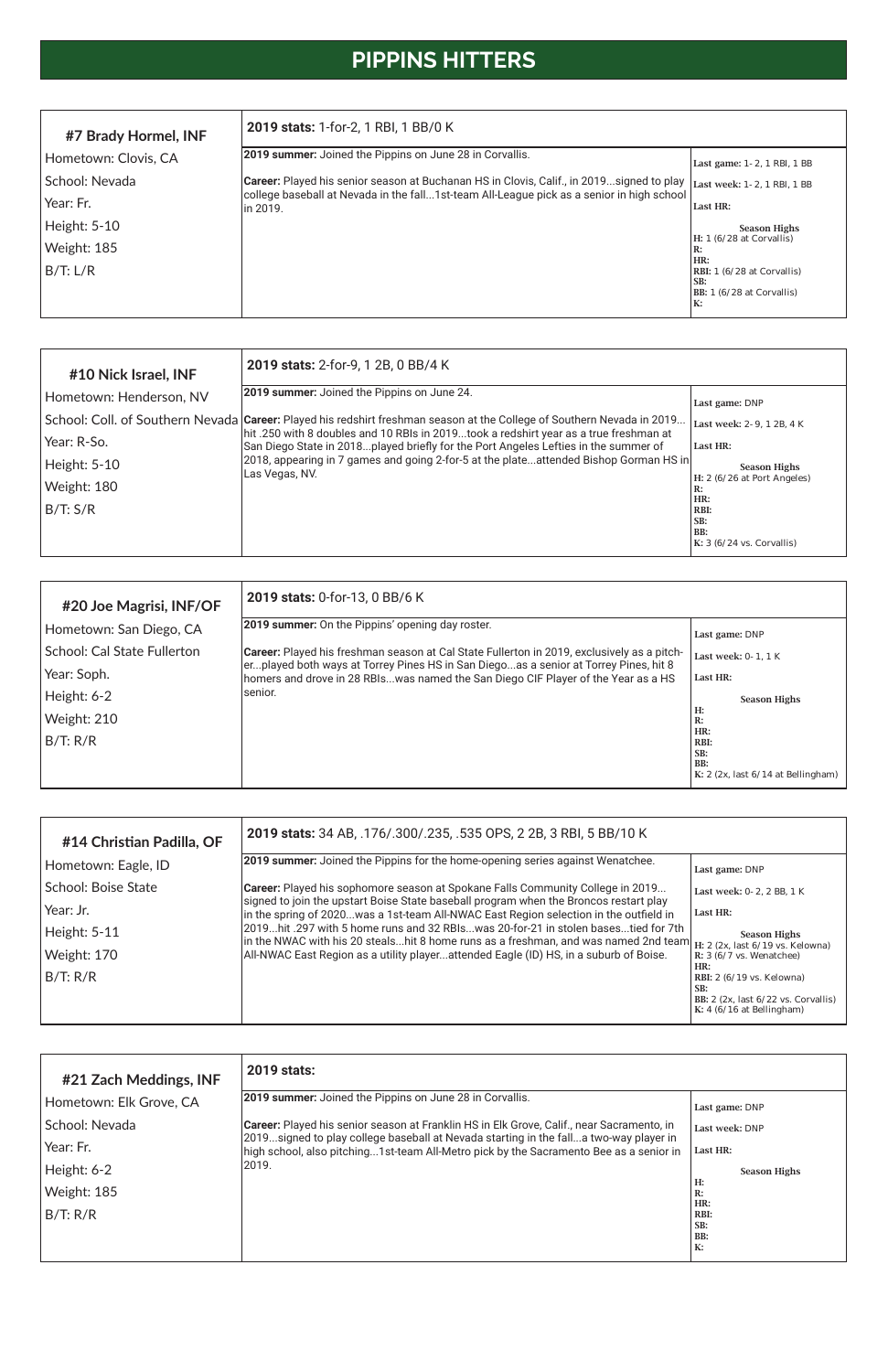# **PIPPINS HITTERS**

| #10 Nick Israel, INF    | 2019 stats: 2-for-9, 1 2B, 0 BB/4 K                                                                                                                                                                             |                                           |
|-------------------------|-----------------------------------------------------------------------------------------------------------------------------------------------------------------------------------------------------------------|-------------------------------------------|
| Hometown: Henderson, NV | 2019 summer: Joined the Pippins on June 24.                                                                                                                                                                     | Last game: DNP                            |
|                         | School: Coll. of Southern Nevada Career: Played his redshirt freshman season at the College of Southern Nevada in 2019<br>hit .250 with 8 doubles and 10 RBIs in 2019took a redshirt year as a true freshman at | Last week: 2-9, 1 2B, 4 K                 |
| Year: R-So.             | San Diego State in 2018played briefly for the Port Angeles Lefties in the summer of                                                                                                                             | Last HR:                                  |
| Height: 5-10            | [2018, appearing in 7 games and going 2-for-5 at the plateattended Bishop Gorman HS in<br>Las Vegas, NV.                                                                                                        | <b>Season Highs</b>                       |
| Weight: 180             |                                                                                                                                                                                                                 | H: 2 (6/26 at Port Angeles)<br>R:         |
| B/T: S/R                |                                                                                                                                                                                                                 | HR:<br>RBI:<br>SB:                        |
|                         |                                                                                                                                                                                                                 | BB:<br>K: $3(6/24 \text{ vs. Corvallis})$ |

| #20 Joe Magrisi, INF/OF     | 2019 stats: 0-for-13, 0 BB/6 K                                                                                                                                            |                                                  |  |  |
|-----------------------------|---------------------------------------------------------------------------------------------------------------------------------------------------------------------------|--------------------------------------------------|--|--|
| Hometown: San Diego, CA     | 2019 summer: On the Pippins' opening day roster.                                                                                                                          | Last game: DNP                                   |  |  |
| School: Cal State Fullerton | <b>Career:</b> Played his freshman season at Cal State Fullerton in 2019, exclusively as a pitch-                                                                         | Last week: 0-1, 1 K                              |  |  |
| Year: Soph.                 | erplayed both ways at Torrey Pines HS in San Diegoas a senior at Torrey Pines, hit 8<br>homers and drove in 28 RBIswas named the San Diego CIF Player of the Year as a HS | Last HR:                                         |  |  |
| Height: 6-2                 | lsenior.                                                                                                                                                                  | <b>Season Highs</b>                              |  |  |
| Weight: 210                 |                                                                                                                                                                           | Н:<br>R:                                         |  |  |
| B/T: R/R                    |                                                                                                                                                                           | HR:<br>RBI:                                      |  |  |
|                             |                                                                                                                                                                           | SB:<br>BB:<br>K: 2 (2x, last 6/14 at Bellingham) |  |  |

| #14 Christian Padilla, OF  | 2019 stats: 34 AB, .176/.300/.235, .535 OPS, 2 2B, 3 RBI, 5 BB/10 K                                                                                                                                           |                                                                                                                                   |  |  |  |
|----------------------------|---------------------------------------------------------------------------------------------------------------------------------------------------------------------------------------------------------------|-----------------------------------------------------------------------------------------------------------------------------------|--|--|--|
| Hometown: Eagle, ID        | [2019 summer: Joined the Pippins for the home-opening series against Wenatchee.                                                                                                                               | Last game: DNP                                                                                                                    |  |  |  |
| <b>School: Boise State</b> | Career: Played his sophomore season at Spokane Falls Community College in 2019                                                                                                                                | Last week: 0-2, 2 BB, 1 K                                                                                                         |  |  |  |
| Year: Jr.                  | signed to join the upstart Boise State baseball program when the Broncos restart play<br>in the spring of 2020was a 1st-team All-NWAC East Region selection in the outfield in                                | Last HR:                                                                                                                          |  |  |  |
| Height: 5-11               | 2019hit .297 with 5 home runs and 32 RBIswas 20-for-21 in stolen basestied for 7th<br>lin the NWAC with his 20 stealshit 8 home runs as a freshman, and was named 2nd team $H: 2$ (2x, last 6/19 vs. Kelowna) | <b>Season Highs</b>                                                                                                               |  |  |  |
| Weight: 170                | All-NWAC East Region as a utility playerattended Eagle (ID) HS, in a suburb of Boise.                                                                                                                         | R: 3 (6/7 vs. Wenatchee)                                                                                                          |  |  |  |
| B/T: R/R                   |                                                                                                                                                                                                               | HR:<br>RBI: 2 (6/19 vs. Kelowna)<br>SB:<br>BB: $2$ (2x, last $6/22$ vs. Corvallis)                                                |  |  |  |
|                            |                                                                                                                                                                                                               | $\mathbf{V}$ . $\mathbf{A}$ ( $\mathbf{O}$ ( $\mathbf{A}$ $\mathbf{O}$ = $\mathbf{E}$ $\mathbf{D}$ = $\mathbf{H}$ ). $\mathbf{H}$ |  |  |  |

| #7 Brady Hormel, INF | <b>2019 stats:</b> 1-for-2, 1 RBI, 1 BB/0 K                                                            |                                                                                     |
|----------------------|--------------------------------------------------------------------------------------------------------|-------------------------------------------------------------------------------------|
| Hometown: Clovis, CA | 2019 summer: Joined the Pippins on June 28 in Corvallis.                                               | Last game: 1 - 2, 1 RBI, 1 BB                                                       |
| School: Nevada       | Career: Played his senior season at Buchanan HS in Clovis, Calif., in 2019signed to play               | Last week: 1-2, 1 RBI, 1 BB                                                         |
| Year: Fr.            | college baseball at Nevada in the fall1st-team All-League pick as a senior in high school<br>lin 2019. | Last HR:                                                                            |
| Height: 5-10         |                                                                                                        | <b>Season Highs</b>                                                                 |
| Weight: 185          |                                                                                                        | H: 1 (6/28 at Corvallis)<br>IR:                                                     |
| B/T: L/R             |                                                                                                        | HR:<br><b>RBI:</b> 1 (6/28 at Corvallis)<br>ISB:<br>BB: 1 (6/28 at Corvallis)<br>K: |

| #21 Zach Meddings, INF  | <b>2019 stats:</b>                                                                                                                                                              |                     |
|-------------------------|---------------------------------------------------------------------------------------------------------------------------------------------------------------------------------|---------------------|
| Hometown: Elk Grove, CA | <b>2019 summer:</b> Joined the Pippins on June 28 in Corvallis.                                                                                                                 | Last game: DNP      |
| School: Nevada          | Career: Played his senior season at Franklin HS in Elk Grove, Calif., near Sacramento, in                                                                                       | Last week: DNP      |
| Year: Fr.               | 2019signed to play college baseball at Nevada starting in the falla two-way player in<br>high school, also pitching1st-team All-Metro pick by the Sacramento Bee as a senior in | Last HR:            |
| Height: 6-2             | 2019.                                                                                                                                                                           | <b>Season Highs</b> |
| Weight: 185             |                                                                                                                                                                                 | H:<br>R:            |
| B/T: R/R                |                                                                                                                                                                                 | HR:<br>RBI:         |
|                         |                                                                                                                                                                                 | SB:<br>BB:<br>K:    |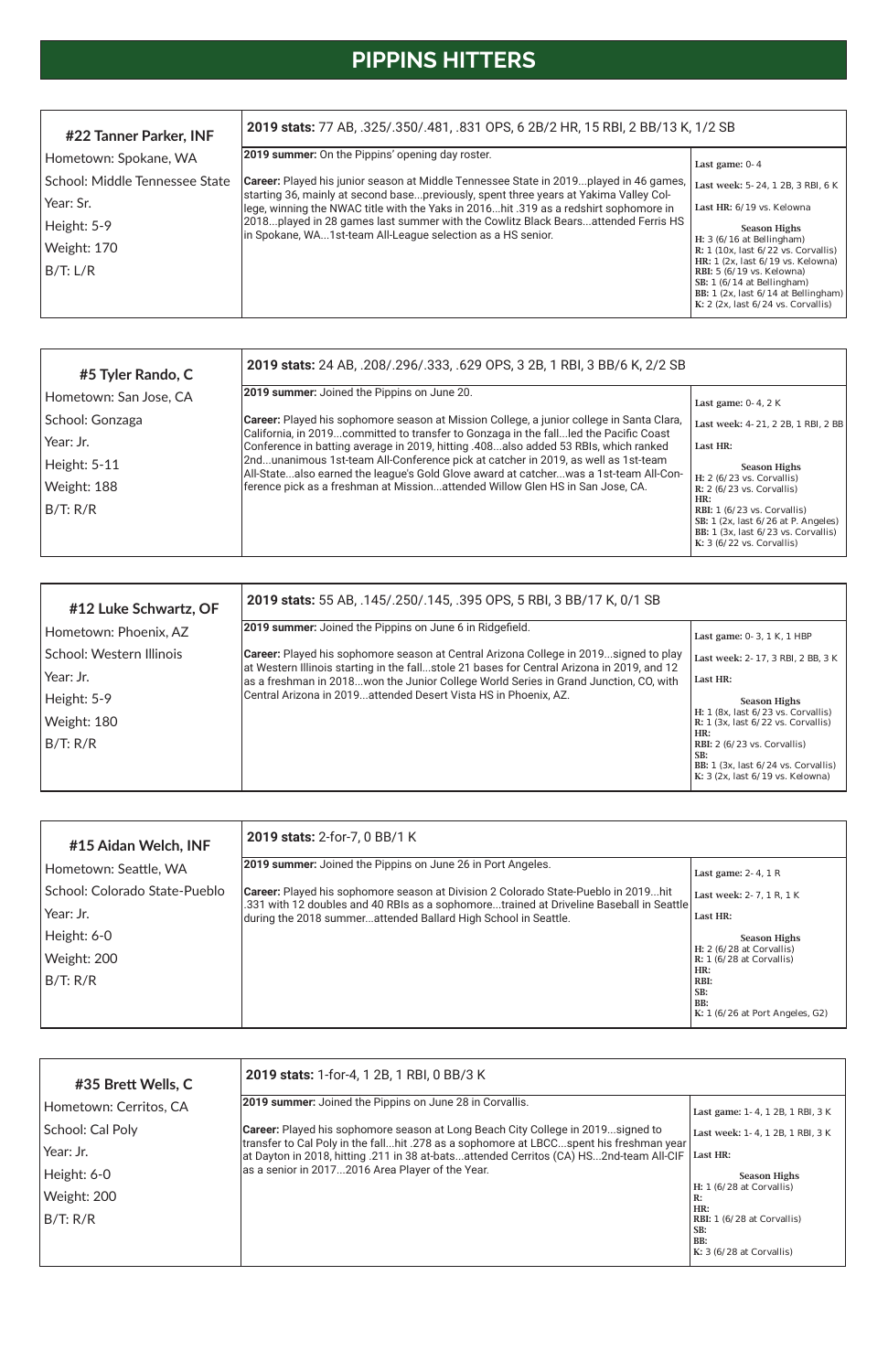# **PIPPINS HITTERS**

| #12 Luke Schwartz, OF    | 2019 stats: 55 AB, .145/.250/.145, .395 OPS, 5 RBI, 3 BB/17 K, 0/1 SB                                                                                                              |                                                                                 |  |  |
|--------------------------|------------------------------------------------------------------------------------------------------------------------------------------------------------------------------------|---------------------------------------------------------------------------------|--|--|
| Hometown: Phoenix, AZ    | 2019 summer: Joined the Pippins on June 6 in Ridgefield.                                                                                                                           | Last game: 0-3, 1 K, 1 HBP                                                      |  |  |
| School: Western Illinois | <b>Career:</b> Played his sophomore season at Central Arizona College in 2019signed to play                                                                                        | Last week: 2-17, 3 RBI, 2 BB, 3 K                                               |  |  |
| Year: Jr.                | at Western Illinois starting in the fallstole 21 bases for Central Arizona in 2019, and 12<br>as a freshman in 2018won the Junior College World Series in Grand Junction, CO, with | Last HR:                                                                        |  |  |
| Height: 5-9              | Central Arizona in 2019attended Desert Vista HS in Phoenix, AZ.                                                                                                                    | <b>Season Highs</b>                                                             |  |  |
| Weight: 180              |                                                                                                                                                                                    | H: 1 (8x, last 6/23 vs. Corvallis)<br>R: $1$ (3x, last $6/22$ vs. Corvallis)    |  |  |
| B/T: R/R                 |                                                                                                                                                                                    | HR:<br>RBI: $2(6/23 \text{ vs. Corvallis})$<br>SB:                              |  |  |
|                          |                                                                                                                                                                                    | BB: $1$ (3x, last $6/24$ vs. Corvallis)<br>K: $3$ (2x, last $6/19$ vs. Kelowna) |  |  |

| #5 Tyler Rando, C      | 2019 stats: 24 AB, .208/.296/.333, .629 OPS, 3 2B, 1 RBI, 3 BB/6 K, 2/2 SB                                                                                                  |                                                                                                                                                                                |  |  |
|------------------------|-----------------------------------------------------------------------------------------------------------------------------------------------------------------------------|--------------------------------------------------------------------------------------------------------------------------------------------------------------------------------|--|--|
| Hometown: San Jose, CA | <b>2019 summer:</b> Joined the Pippins on June 20.                                                                                                                          | Last game: $0-4$ , $2K$                                                                                                                                                        |  |  |
| School: Gonzaga        | Career: Played his sophomore season at Mission College, a junior college in Santa Clara,                                                                                    | Last week: 4-21, 2 2B, 1 RBI, 2 BB                                                                                                                                             |  |  |
| Year: Jr.              | California, in 2019committed to transfer to Gonzaga in the fallled the Pacific Coast<br>Conference in batting average in 2019, hitting .408also added 53 RBIs, which ranked | Last HR:                                                                                                                                                                       |  |  |
| Height: 5-11           | 2ndunanimous 1st-team All-Conference pick at catcher in 2019, as well as 1st-team<br>All-Statealso earned the league's Gold Glove award at catcherwas a 1st-team All-Con-   | <b>Season Highs</b>                                                                                                                                                            |  |  |
| Weight: 188            | ference pick as a freshman at Missionattended Willow Glen HS in San Jose, CA.                                                                                               | H: $2(6/23$ vs. Corvallis)<br>R: $2(6/23$ vs. Corvallis)                                                                                                                       |  |  |
| B/T: R/R               |                                                                                                                                                                             | HR:<br><b>RBI:</b> $1(6/23 \text{ vs. Corvallis})$<br>SB: $1$ (2x, last $6/26$ at P. Angeles)<br>BB: $1$ (3x, last $6/23$ vs. Corvallis)<br>K: $3(6/22 \text{ vs. Corvallis})$ |  |  |

| #15 Aidan Welch, INF          | 2019 stats: 2-for-7, 0 BB/1 K                                                                                                                                                        |                                                          |
|-------------------------------|--------------------------------------------------------------------------------------------------------------------------------------------------------------------------------------|----------------------------------------------------------|
| Hometown: Seattle, WA         | <b>2019 summer:</b> Joined the Pippins on June 26 in Port Angeles.                                                                                                                   | Last game: $2-4$ , 1 R                                   |
| School: Colorado State-Pueblo | <b>Career:</b> Played his sophomore season at Division 2 Colorado State-Pueblo in 2019hit<br>.331 with 12 doubles and 40 RBIs as a sophomoretrained at Driveline Baseball in Seattle | Last week: 2-7, 1 R, 1 K                                 |
| Year: Jr.                     | during the 2018 summerattended Ballard High School in Seattle.                                                                                                                       | Last HR:                                                 |
| Height: 6-0                   |                                                                                                                                                                                      | <b>Season Highs</b>                                      |
| Weight: 200                   |                                                                                                                                                                                      | $H: 2 (6/28$ at Corvallis)<br>$R: 1 (6/28$ at Corvallis) |
| B/T: R/R                      |                                                                                                                                                                                      | HR:<br>RBI:<br>SB:<br>BB:                                |

| #35 Brett Wells, C     | 2019 stats: 1-for-4, 1 2B, 1 RBI, 0 BB/3 K                                                                                                                                       |                                                                                      |  |  |
|------------------------|----------------------------------------------------------------------------------------------------------------------------------------------------------------------------------|--------------------------------------------------------------------------------------|--|--|
| Hometown: Cerritos, CA | <b>2019 summer:</b> Joined the Pippins on June 28 in Corvallis.                                                                                                                  | Last game: 1-4, 1 2B, 1 RBI, 3 K                                                     |  |  |
| School: Cal Poly       | <b>Career:</b> Played his sophomore season at Long Beach City College in 2019signed to                                                                                           | Last week: 1-4, 1 2B, 1 RBI, 3 K                                                     |  |  |
| Year: Jr.              | transfer to Cal Poly in the fallhit .278 as a sophomore at LBCCspent his freshman year<br>at Dayton in 2018, hitting .211 in 38 at-batsattended Cerritos (CA) HS2nd-team All-CIF | Last HR:                                                                             |  |  |
| Height: 6-0            | as a senior in 20172016 Area Player of the Year.                                                                                                                                 | <b>Season Highs</b>                                                                  |  |  |
| Weight: 200            |                                                                                                                                                                                  | H: 1 (6/28 at Corvallis)<br>R:                                                       |  |  |
| B/T: R/R               |                                                                                                                                                                                  | HR:<br><b>RBI:</b> 1 (6/28 at Corvallis)<br>SB:<br>BB:<br>$K: 3 (6/28$ at Corvallis) |  |  |

| #22 Tanner Parker, INF         | 2019 stats: 77 AB, .325/.350/.481, .831 OPS, 6 2B/2 HR, 15 RBI, 2 BB/13 K, 1/2 SB                                                                                                     |                                                                                                                                                                                                     |
|--------------------------------|---------------------------------------------------------------------------------------------------------------------------------------------------------------------------------------|-----------------------------------------------------------------------------------------------------------------------------------------------------------------------------------------------------|
| Hometown: Spokane, WA          | <b>2019 summer:</b> On the Pippins' opening day roster.                                                                                                                               | Last game: $0-4$                                                                                                                                                                                    |
| School: Middle Tennessee State | <b>Career:</b> Played his junior season at Middle Tennessee State in 2019played in 46 games,<br>starting 36, mainly at second basepreviously, spent three years at Yakima Valley Col- | Last week: 5-24, 1 2B, 3 RBI, 6 K                                                                                                                                                                   |
| Year: Sr.                      | lege, winning the NWAC title with the Yaks in 2016hit .319 as a redshirt sophomore in                                                                                                 | Last HR: 6/19 vs. Kelowna                                                                                                                                                                           |
| Height: 5-9                    | 2018played in 28 games last summer with the Cowlitz Black Bearsattended Ferris HS<br>in Spokane, WA1st-team All-League selection as a HS senior.                                      | <b>Season Highs</b>                                                                                                                                                                                 |
| Weight: 170                    |                                                                                                                                                                                       | H: $3(6/16$ at Bellingham)<br>R: 1 (10x, last 6/22 vs. Corvallis)                                                                                                                                   |
| B/T: L/R                       |                                                                                                                                                                                       | HR: 1 (2x, last 6/19 vs. Kelowna)<br>RBI: $5(6/19 \text{ vs.} \text{ Kelowna})$<br>SB: $1(6/14$ at Bellingham)<br>BB: $1$ (2x, last $6/14$ at Bellingham)<br>K: $2$ (2x, last $6/24$ vs. Corvallis) |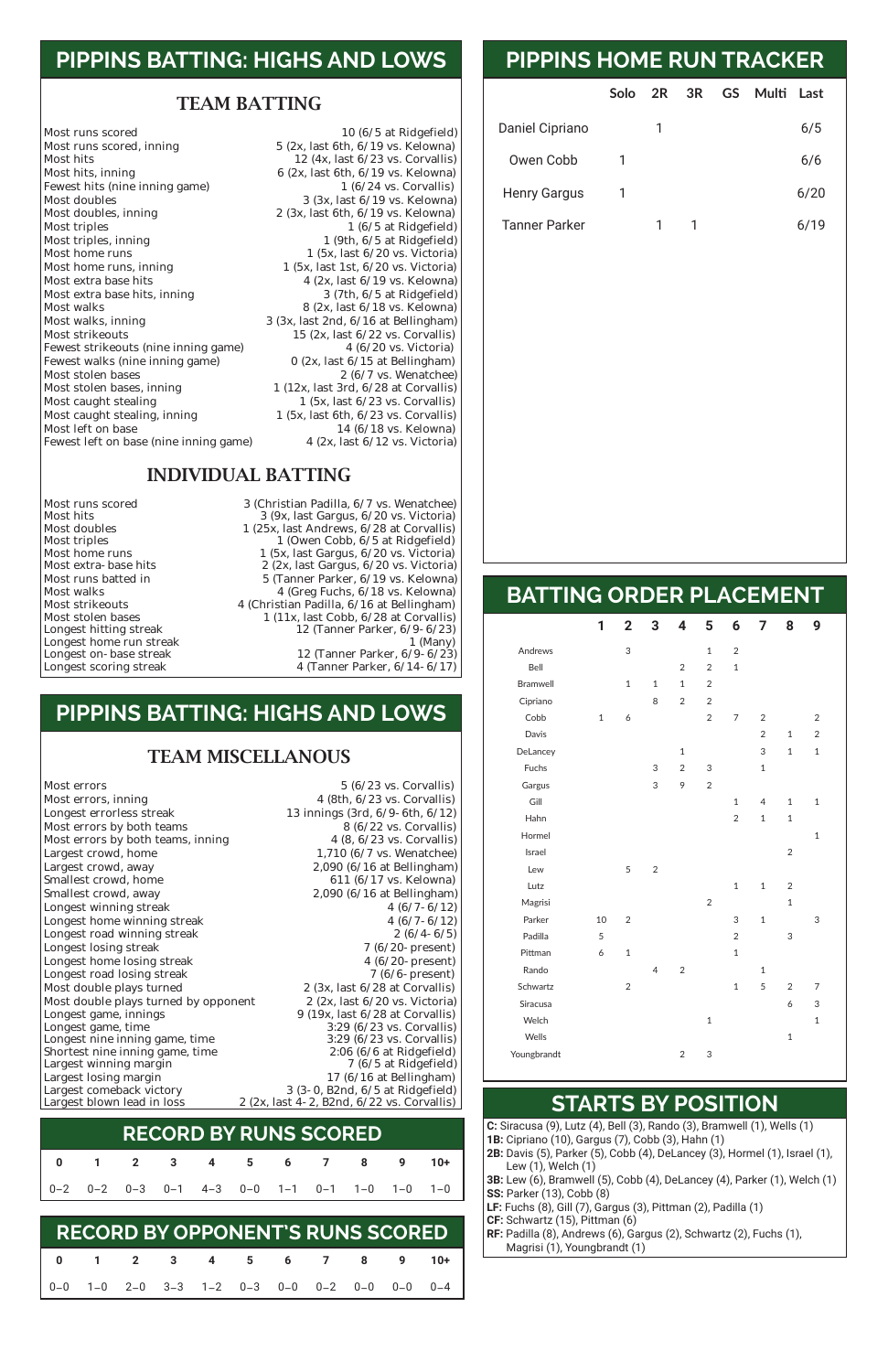## **PIPPINS BATTING: HIGHS AND LOWS**

#### TEAM BATTING

Most runs scored<br>Most runs scored, inning 10 (6/5 at Ridgefield)<br>5 (2x, last 6th, 6/19 vs. Kelowna) Most hits  $12 \times 12 \times 6/23 \times 6$ . Corvallis) Most hits, inning<br>Fewest hits (nine inning game)<br> $\begin{array}{r} 6 (2x, last 6th, 6/19 \text{ vs. Kelowna}) \\ 1 (6/24 \text{ vs. Corvallis}) \end{array}$ Fewest hits (nine inning game)<br>Most doubles Most doubles<br>Most doubles, inning<br> $\begin{array}{r} 3 (3x, last 6/19 \text{ vs.} \text{ Kelowna}) \\ 2 (3x, last 6th, 6/19 \text{ vs.} \text{ Kelowna}) \end{array}$ Most triples<br>
Most triples, inning<br>
Most triples, inning<br>  $1 (6/5 at Ridgefield)$ <br>  $1 (9th, 6/5 at Ridgefield)$ Most triples, inning<br>
Most home runs<br>  $1 (9th, 6/5 at Ridgefield)$ <br>  $1 (5x, last 6/20 vs. Victoria)$ Most home runs<br>Most home runs, inning<br> $\begin{array}{ccc} 1 & (5x, \text{ last } 6/20 \text{ vs. Victoria}) \\ 1 & (5x, \text{ last } 1st, 6/20 \text{ vs. Victoria}) \end{array}$ Most home runs, inning 1 (5x, last 1st, 6/20 vs. Victoria)<br>Most extra base hits 4 (2x, last 6/19 vs. Kelowna) Most extra base hits, inning Most walks<br>Most walks, inning and the set of the set of the Sandara Sandara (2x, last 6/18 vs. Kelowna)<br>Most walks, inning and Sandara Sandara (3x, last 2nd, 6/16 at Bellingham) Most walks, inning 3 (3x, last 2nd, 6/16 at Bellingham)<br>Most strikeouts 15 (2x, last 6/22 vs. Corvallis) Fewest strikeouts (nine inning game)  $4(6/20 \text{ vs. Victoria})$ <br>Fewest walks (nine inning game)  $0(2x, \text{ last } 6/15 \text{ at Bellingham})$ Fewest walks (nine inning game)<br>Most stolen bases Most stolen bases<br>Most stolen bases, inning 1 (12x, last 3rd, 6/28 at Corvallis) Most caught stealing 1 (5x, last 6/23 vs. Corvallis)<br>Most caught stealing, inning 1 (5x, last 6th, 6/23 vs. Corvallis) Most caught stealing, inning 1 (5x, last 6th, 6/23 vs. Corvallis)<br>Most left on base 14 (6/18 vs. Kelowna) Fewest left on base (nine inning game)

 $5$  (2x, last 6th,  $6/19$  vs. Kelowna)  $2$  (3x, last 6th,  $6/19$  vs. Kelowna) 4 (2x, last  $6/19$  vs. Kelowna)<br>3 (7th,  $6/5$  at Ridgefield) 15 (2x, last  $6/22$  vs. Corvallis)<br>4  $(6/20$  vs. Victoria) 1 (12x, last 3rd,  $6/28$  at Corvallis) 14 (6/18 vs. Kelowna)<br>4 (2x, last  $6/12$  vs. Victoria)

| Welch        |   |   |  |
|--------------|---|---|--|
| <b>Wells</b> |   |   |  |
| Youngbrandt  | っ | 3 |  |

#### INDIVIDUAL BATTING

Longest home run streak<br>Longest on- base streak

Most runs scored 3 (Christian Padilla, 6/7 vs. Wenatchee)<br>Most hits 3 (9x. last Gargus, 6/20 vs. Victoria) Most hits 3 (9x, last Gargus, 6/20 vs. Victoria) Most doubles 1 (25x, last Andrews, 6/28 at Corvallis)<br>Most triples 1 (Owen Cobb, 6/5 at Ridgefield) Most triples<br>Most home runs and the compact of the cobb, 6/5 at Ridgefield)<br>Most home runs and the compact of the compact of the compact of the contract of the compact of the compact of<br>Most home runs and the compact of th Most home runs 1 (5x, last Gargus, 6/20 vs. Victoria) Most extra-base hits 2 (2x, last Gargus, 6/20 vs. Victoria)<br>Most runs batted in 5 (Tanner Parker, 6/19 vs. Kelowna) Most runs batted in 5 (Tanner Parker, 6/19 vs. Kelowna) Most walks 4 (Greg Fuchs, 6/18 vs. Kelowna) Most strikeouts 4 (Christian Padilla, 6/16 at Bellingham)<br>Most stolen bases 1 (11x, last Cobb, 6/28 at Corvallis) Most stolen bases 1 (11x, last Cobb, 6/28 at Corvallis)<br>Longest hitting streak 12 (Tanner Parker, 6/9-6/23) 12 (Tanner Parker,  $6/9-6/23$ )<br>1 (Many) Longest on-base streak 12 (Tanner Parker, 6/9-6/23)<br>Longest scoring streak 4 (Tanner Parker, 6/14-6/17) 4 (Tanner Parker, 6/14-6/17)

|                      | Solo | 2R | 3R | GS | Multi | Last |  |
|----------------------|------|----|----|----|-------|------|--|
| Daniel Cipriano      |      |    |    |    |       | 6/5  |  |
| Owen Cobb            |      |    |    |    |       | 6/6  |  |
| <b>Henry Gargus</b>  |      |    |    |    |       | 6/20 |  |
| <b>Tanner Parker</b> |      |    |    |    |       | 6/19 |  |

# **PIPPINS HOME RUN TRACKER**

### **BATTING ORDER PLACEMENT**

|                 | 1            | $\overline{2}$ | 3              | 4              | 5              | 6              | 7 <sup>7</sup> | 8              | 9              |  |
|-----------------|--------------|----------------|----------------|----------------|----------------|----------------|----------------|----------------|----------------|--|
| Andrews         |              | 3              |                |                | $\mathbf{1}$   | $\overline{2}$ |                |                |                |  |
| Bell            |              |                |                | $\overline{2}$ | $\overline{2}$ | $\mathbf{1}$   |                |                |                |  |
| <b>Bramwell</b> |              | $\mathbf{1}$   | $\mathbf{1}$   | $\mathbf{1}$   | $\overline{2}$ |                |                |                |                |  |
| Cipriano        |              |                | 8              | $\overline{2}$ | $\overline{2}$ |                |                |                |                |  |
| Cobb            | $\mathbf{1}$ | 6              |                |                | $\overline{2}$ | $\overline{7}$ | $\overline{2}$ |                | $\overline{2}$ |  |
| Davis           |              |                |                |                |                |                | $\overline{2}$ | $\mathbf{1}$   | $\overline{2}$ |  |
| DeLancey        |              |                |                | $\mathbf{1}$   |                |                | 3              | $\mathbf{1}$   | $\mathbf{1}$   |  |
| Fuchs           |              |                | 3              | $\overline{2}$ | 3              |                | $\mathbf 1$    |                |                |  |
| Gargus          |              |                | 3              | 9              | $\overline{2}$ |                |                |                |                |  |
| Gill            |              |                |                |                |                | $\mathbf{1}$   | $\overline{4}$ | $\mathbf{1}$   | $\mathbf{1}$   |  |
| Hahn            |              |                |                |                |                | 2              | $\mathbf{1}$   | $\mathbf{1}$   |                |  |
| Hormel          |              |                |                |                |                |                |                |                | $\mathbf{1}$   |  |
| Israel          |              |                |                |                |                |                |                | $\overline{2}$ |                |  |
| Lew             |              | 5              | $\overline{2}$ |                |                |                |                |                |                |  |
| Lutz            |              |                |                |                |                | $\mathbf{1}$   | $\mathbf{1}$   | $\overline{2}$ |                |  |
| Magrisi         |              |                |                |                | $\overline{2}$ |                |                | $\mathbf{1}$   |                |  |
| Parker          | 10           | $\overline{2}$ |                |                |                | 3              | $\mathbf 1$    |                | 3              |  |
| Padilla         | 5            |                |                |                |                | $\overline{2}$ |                | 3              |                |  |
| Pittman         | 6            | $\mathbf{1}$   |                |                |                | $\mathbf{1}$   |                |                |                |  |
| Rando           |              |                | $\overline{4}$ | $\overline{2}$ |                |                | $\mathbf{1}$   |                |                |  |
| Schwartz        |              | $\overline{2}$ |                |                |                | $\mathbf{1}$   | 5              | $\overline{2}$ | 7              |  |
| Siracusa        |              |                |                |                |                |                |                | 6              | 3              |  |

**C:** Siracusa (9), Lutz (4), Bell (3), Rando (3), Bramwell (1), Wells (1) **1B:** Cipriano (10), Gargus (7), Cobb (3), Hahn (1) **2B:** Davis (5), Parker (5), Cobb (4), DeLancey (3), Hormel (1), Israel (1), Lew (1), Welch (1) **3B:** Lew (6), Bramwell (5), Cobb (4), DeLancey (4), Parker (1), Welch (1) **SS:** Parker (13), Cobb (8) **LF:** Fuchs (8), Gill (7), Gargus (3), Pittman (2), Padilla (1) **CF:** Schwartz (15), Pittman (6) **RF:** Padilla (8), Andrews (6), Gargus (2), Schwartz (2), Fuchs (1), Magrisi (1), Youngbrandt (1)

## **STARTS BY POSITION**

## **PIPPINS BATTING: HIGHS AND LOWS**

#### TEAM MISCELLANOUS

Most errors<br>
Most errors, inning<br>
Most errors, inning<br>  $\begin{array}{r} 5 \ (6/23 \text{ vs. Corvallis}) \\ 4 \ (8th, 6/23 \text{ vs. Corvallis}) \end{array}$ Most errors, inning 4 (8th, 6/23 vs. Corvallis)<br>
Longest errorless streak 13 innings (3rd, 6/9-6th, 6/12) Most errors by both teams<br>
Most errors by both teams, inning<br>  $\begin{array}{r} 8 (6/22 \text{ vs. Corvallis}) \\ 4 (8, 6/23 \text{ vs. Corvallis}) \end{array}$ Most errors by both teams, inning<br>Largest crowd, home Largest crowd, home 1,710 (6/7 vs. Wenatchee)<br>
Largest crowd, away 2,090 (6/16 at Bellingham) Largest crowd, away  $2,090 (6/16 \text{ at Bellingham})$ <br>Smallest crowd. home  $611 (6/17 \text{ vs. Kelowna})$ Smallest crowd, home<br>
Smallest crowd, away 611 (6/17 vs. Kelowna)<br>
2,090 (6/16 at Bellingham) Longest winning streak 4 (6/7-6/12)<br>
Longest home winning streak 4 (6/7-6/12) Longest home winning streak 4 (6/7-6/12)<br>
Longest road winning streak 2 (6/4-6/5) Longest road winning streak 2 (6/4-6/5)<br>
Longest losing streak 2 (6/20-present) Longest losing streak 7 (6/20- present)<br>
Longest home losing streak 4 (6/20- present) Longest home losing streak 4 (6/20-present)<br>
Longest road losing streak 7 (6/6-present) Longest road losing streak<br>Most double plays turned Most double plays turned by opponent

13 innings (3rd, 6/9-6th, 6/12)<br>8 (6/22 vs. Corvallis) 2,090 (6/16 at Bellingham)<br>4 (6/7-6/12) 2 (3x, last  $6/28$  at Corvallis)<br>2 (2x, last  $6/20$  vs. Victoria)

| Longest game, innings           | 9(19x, last 6/28 at Corvallis)                 |
|---------------------------------|------------------------------------------------|
| Longest game, time              | $3:29$ (6/23 vs. Corvallis)                    |
| Longest nine inning game, time  | $3:29$ (6/23 vs. Corvallis)                    |
| Shortest nine inning game, time | $2:06(6/6$ at Ridgefield                       |
| Largest winning margin          | $7(6/5$ at Ridgefield)                         |
| Largest losing margin           | 17 $(6/16$ at Bellingham)                      |
| Largest comeback victory        | 3 (3-0, B2nd, 6/5 at Ridgefield)               |
| Largest blown lead in loss      | $2$ (2x, last 4-2, B2nd, $6/22$ vs. Corvallis) |

|  |  |  |  | 0 1 2 3 4 5 6 7 8 9 10+                                                                         |  |
|--|--|--|--|-------------------------------------------------------------------------------------------------|--|
|  |  |  |  | $\begin{vmatrix} 0-2 & 0-2 & 0-3 & 0-1 & 4-3 & 0-0 & 1-1 & 0-1 & 1-0 & 1-0 & 1-0 \end{vmatrix}$ |  |

#### **RECORD BY RUNS SCORED**

|  | 0 1 2 3 4 5 6 7 8 9 10+                       |  |  |  |  |
|--|-----------------------------------------------|--|--|--|--|
|  | $0-0$ 1-0 2-0 3-3 1-2 0-3 0-0 0-2 0-0 0-0 0-4 |  |  |  |  |

# **RECORD BY OPPONENT'S RUNS SCORED**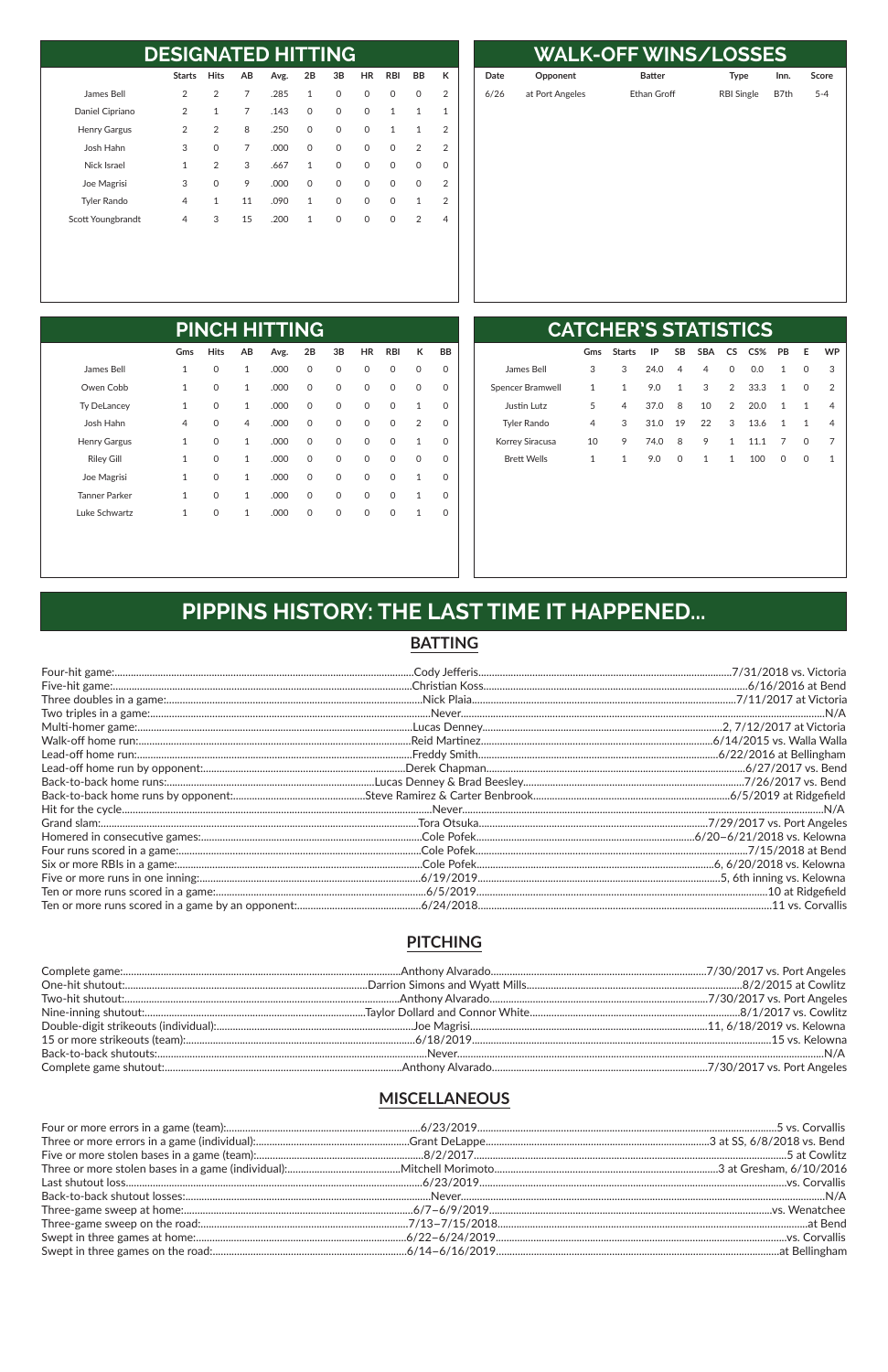| <b>DESIGNATED HITTING</b> |                |                |    |      |              |          |           |              |                |                |  |
|---------------------------|----------------|----------------|----|------|--------------|----------|-----------|--------------|----------------|----------------|--|
|                           | <b>Starts</b>  | <b>Hits</b>    | AB | Avg. | 2В           | 3B       | <b>HR</b> | <b>RBI</b>   | <b>BB</b>      | к              |  |
| James Bell                | $\overline{2}$ | $\overline{2}$ | 7  | .285 | $\mathbf{1}$ | $\Omega$ | $\Omega$  | $\mathbf{0}$ | 0              | 2              |  |
| Daniel Cipriano           | 2              | $\mathbf{1}$   | 7  | .143 | $\Omega$     | $\Omega$ | $\Omega$  | $\mathbf{1}$ | $\mathbf{1}$   | $\mathbf{1}$   |  |
| <b>Henry Gargus</b>       | 2              | 2              | 8  | .250 | $\Omega$     | $\Omega$ | $\Omega$  | $\mathbf{1}$ | $\mathbf{1}$   | 2              |  |
| Josh Hahn                 | 3              | $\Omega$       | 7  | .000 | $\Omega$     | $\Omega$ | $\Omega$  | $\Omega$     | $\overline{2}$ | $\overline{2}$ |  |
| Nick Israel               | $\mathbf{1}$   | $\overline{2}$ | 3  | .667 | 1            | $\Omega$ | $\Omega$  | $\Omega$     | $\Omega$       | $\Omega$       |  |
| Joe Magrisi               | 3              | $\Omega$       | 9  | .000 | $\Omega$     | $\Omega$ | $\Omega$  | $\mathbf{0}$ | $\Omega$       | $\overline{2}$ |  |
| <b>Tyler Rando</b>        | 4              | $\mathbf{1}$   | 11 | .090 | 1            | $\Omega$ | $\Omega$  | $\Omega$     | $\mathbf{1}$   | $\mathcal{P}$  |  |
| Scott Youngbrandt         | 4              | 3              | 15 | .200 | $\mathbf{1}$ | $\Omega$ | $\Omega$  | $\Omega$     | $\overline{2}$ | 4              |  |

|      | <b>WALK-OFF WINS/LOSSES</b> |                    |                   |      |         |  |  |  |  |  |  |  |  |
|------|-----------------------------|--------------------|-------------------|------|---------|--|--|--|--|--|--|--|--|
| Date | Opponent                    | <b>Batter</b>      | <b>Type</b>       | Inn. | Score   |  |  |  |  |  |  |  |  |
| 6/26 | at Port Angeles             | <b>Ethan Groff</b> | <b>RBI Single</b> | B7th | $5 - 4$ |  |  |  |  |  |  |  |  |
|      |                             |                    |                   |      |         |  |  |  |  |  |  |  |  |
|      |                             |                    |                   |      |         |  |  |  |  |  |  |  |  |
|      |                             |                    |                   |      |         |  |  |  |  |  |  |  |  |
|      |                             |                    |                   |      |         |  |  |  |  |  |  |  |  |
|      |                             |                    |                   |      |         |  |  |  |  |  |  |  |  |
|      |                             |                    |                   |      |         |  |  |  |  |  |  |  |  |
|      |                             |                    |                   |      |         |  |  |  |  |  |  |  |  |
|      |                             |                    |                   |      |         |  |  |  |  |  |  |  |  |
|      |                             |                    |                   |      |         |  |  |  |  |  |  |  |  |
|      |                             |                    |                   |      |         |  |  |  |  |  |  |  |  |

| <b>PINCH HITTING</b> |              |              |              |      |              |              |             |            |                |           |
|----------------------|--------------|--------------|--------------|------|--------------|--------------|-------------|------------|----------------|-----------|
|                      | Gms          | <b>Hits</b>  | AB           | Avg. | 2B           | 3B           | <b>HR</b>   | <b>RBI</b> | К              | <b>BB</b> |
| James Bell           | 1            | 0            | 1            | .000 | 0            | 0            | 0           | 0          | $\mathbf 0$    | 0         |
| Owen Cobb            | $\mathbf{1}$ | $\mathsf{O}$ | 1            | .000 | $\mathsf{O}$ | $\mathsf{O}$ | $\mathbf 0$ | 0          | $\mathbf 0$    | 0         |
| <b>Ty DeLancey</b>   | $\mathbf{1}$ | $\mathsf{O}$ | 1            | .000 | $\mathsf{O}$ | $\mathsf{O}$ | $\mathbf 0$ | 0          | $\mathbf{1}$   | 0         |
| Josh Hahn            | 4            | $\Omega$     | 4            | .000 | $\Omega$     | $\Omega$     | $\mathbf 0$ | $\Omega$   | $\overline{2}$ | 0         |
| <b>Henry Gargus</b>  | $\mathbf{1}$ | $\mathsf{O}$ | $\mathbf{1}$ | .000 | $\mathsf{O}$ | $\mathsf{O}$ | $\mathbf 0$ | 0          | 1              | 0         |
| <b>Riley Gill</b>    | $\mathbf{1}$ | $\mathsf{O}$ | 1            | .000 | $\mathsf{O}$ | $\mathsf{O}$ | $\mathbf 0$ | 0          | $\mathbf 0$    | 0         |
| Joe Magrisi          | $\mathbf{1}$ | $\mathsf{O}$ | $\mathbf{1}$ | .000 | $\Omega$     | $\mathsf{O}$ | $\mathbf 0$ | $\Omega$   | $\mathbf{1}$   | 0         |
| <b>Tanner Parker</b> | $\mathbf{1}$ | $\Omega$     | 1            | .000 | $\Omega$     | $\mathbf 0$  | 0           | $\Omega$   | $\mathbf{1}$   | 0         |
| Luke Schwartz        | $\mathbf{1}$ | $\mathsf{O}$ | 1            | .000 | 0            | 0            | 0           | 0          | 1              | O         |

| <b>CATCHER'S STATISTICS</b> |              |               |      |                |            |                |      |           |          |               |  |
|-----------------------------|--------------|---------------|------|----------------|------------|----------------|------|-----------|----------|---------------|--|
|                             | Gms          | <b>Starts</b> | IP   | <b>SB</b>      | <b>SBA</b> | CS.            | CS%  | <b>PB</b> | Е        | <b>WP</b>     |  |
| James Bell                  | 3            | 3             | 24.0 | $\overline{4}$ | 4          | $\mathbf{0}$   | 0.0  | 1         | 0        | 3             |  |
| Spencer Bramwell            | 1            | 1             | 9.0  | 1              | 3          | $\mathcal{P}$  | 33.3 | 1         | $\Omega$ | $\mathcal{L}$ |  |
| Justin Lutz                 | 5            | 4             | 37.0 | 8              | 10         | $\mathfrak{D}$ | 20.0 | 1         | 1        | 4             |  |
| <b>Tyler Rando</b>          | 4            | 3             | 31.0 | 19             | 22         | 3              | 13.6 | 1         | 1        | 4             |  |
| Korrey Siracusa             | 10           | 9             | 74.0 | 8              | 9          | 1              | 11.1 | 7         | $\Omega$ | 7             |  |
| <b>Brett Wells</b>          | $\mathbf{1}$ | 1             | 9.0  | 0              | 1          | 1              | 100  | $\Omega$  | $\Omega$ | 1             |  |
|                             |              |               |      |                |            |                |      |           |          |               |  |

# PIPPINS HISTORY: THE LAST TIME IT HAPPENED...

#### **BATTING**

#### **PITCHING**

#### **MISCELLANEOUS**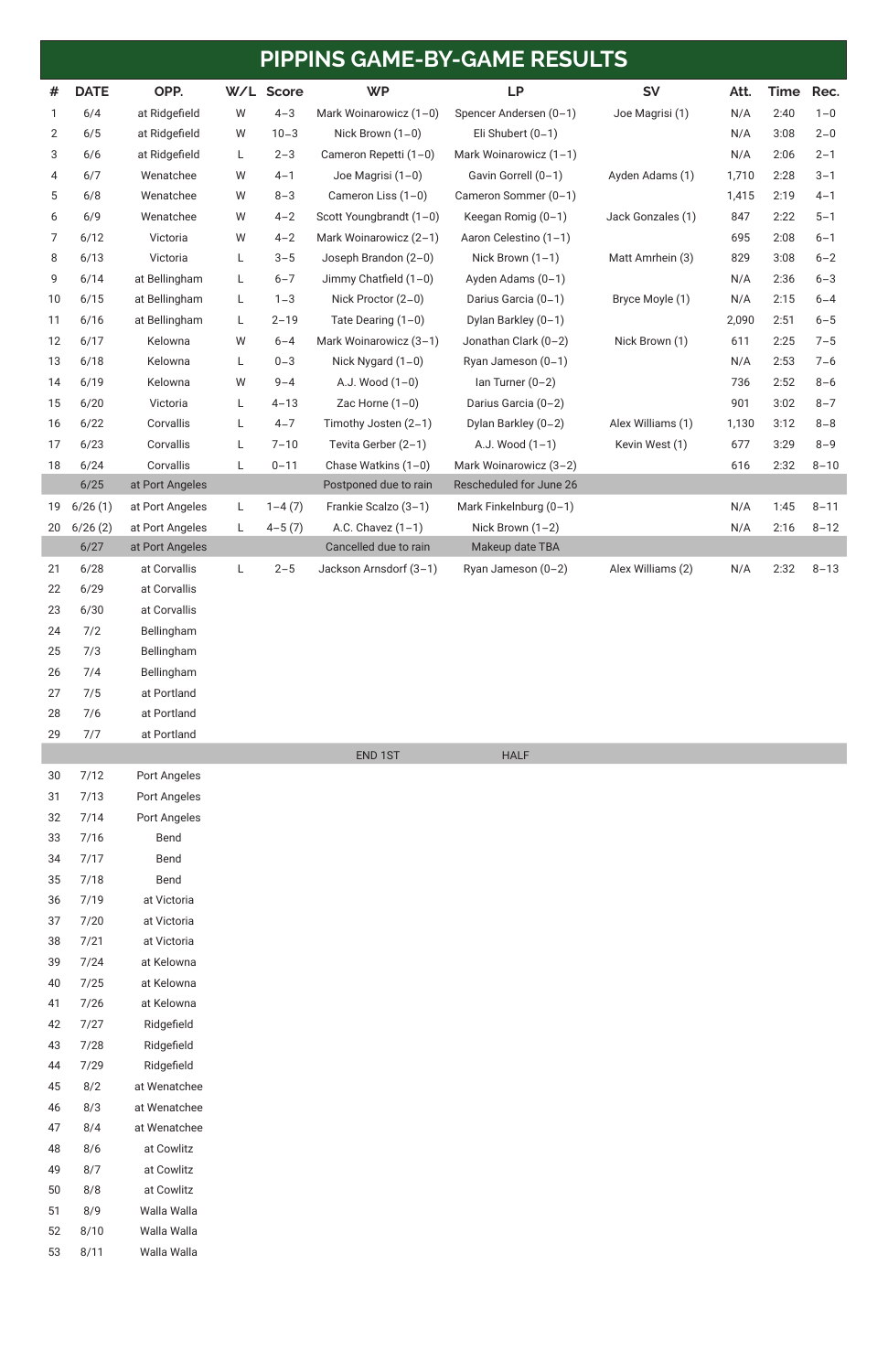| #  | <b>DATE</b> | OPP.            | W/L | <b>Score</b> | <b>WP</b>               | <b>LP</b>               | <b>SV</b>         | Att.  | Time | Rec.     |
|----|-------------|-----------------|-----|--------------|-------------------------|-------------------------|-------------------|-------|------|----------|
|    | 6/4         | at Ridgefield   | W   | $4 - 3$      | Mark Woinarowicz (1-0)  | Spencer Andersen (0-1)  | Joe Magrisi (1)   | N/A   | 2:40 | $1 - 0$  |
| 2  | 6/5         | at Ridgefield   | W   | $10 - 3$     | Nick Brown $(1-0)$      | Eli Shubert $(0-1)$     |                   | N/A   | 3:08 | $2 - 0$  |
| 3  | 6/6         | at Ridgefield   | L   | $2 - 3$      | Cameron Repetti (1-0)   | Mark Woinarowicz (1-1)  |                   | N/A   | 2:06 | $2 - 1$  |
| 4  | 6/7         | Wenatchee       | W   | $4 - 1$      | Joe Magrisi (1-0)       | Gavin Gorrell (0-1)     | Ayden Adams (1)   | 1,710 | 2:28 | $3 - 1$  |
| 5  | 6/8         | Wenatchee       | W   | $8 - 3$      | Cameron Liss (1-0)      | Cameron Sommer (0-1)    |                   | 1,415 | 2:19 | $4 - 1$  |
| 6  | 6/9         | Wenatchee       | W   | $4 - 2$      | Scott Youngbrandt (1-0) | Keegan Romig (0-1)      | Jack Gonzales (1) | 847   | 2:22 | $5 - 1$  |
| 7  | 6/12        | Victoria        | W   | $4 - 2$      | Mark Woinarowicz (2-1)  | Aaron Celestino (1-1)   |                   | 695   | 2:08 | $6 - 1$  |
| 8  | 6/13        | Victoria        | L   | $3 - 5$      | Joseph Brandon (2-0)    | Nick Brown $(1-1)$      | Matt Amrhein (3)  | 829   | 3:08 | $6 - 2$  |
| 9  | 6/14        | at Bellingham   | L   | $6 - 7$      | Jimmy Chatfield $(1-0)$ | Ayden Adams (0-1)       |                   | N/A   | 2:36 | $6 - 3$  |
| 10 | 6/15        | at Bellingham   | L   | $1 - 3$      | Nick Proctor (2-0)      | Darius Garcia (0-1)     | Bryce Moyle (1)   | N/A   | 2:15 | $6 - 4$  |
| 11 | 6/16        | at Bellingham   | L   | $2 - 19$     | Tate Dearing $(1-0)$    | Dylan Barkley (0-1)     |                   | 2,090 | 2:51 | $6 - 5$  |
| 12 | 6/17        | Kelowna         | W   | $6 - 4$      | Mark Woinarowicz (3-1)  | Jonathan Clark (0-2)    | Nick Brown (1)    | 611   | 2:25 | $7 - 5$  |
| 13 | 6/18        | Kelowna         | L   | $0 - 3$      | Nick Nygard $(1-0)$     | Ryan Jameson (0-1)      |                   | N/A   | 2:53 | $7 - 6$  |
| 14 | 6/19        | Kelowna         | W   | $9 - 4$      | A.J. Wood $(1-0)$       | $lan Turner (0-2)$      |                   | 736   | 2:52 | $8 - 6$  |
| 15 | 6/20        | Victoria        | L   | $4 - 13$     | Zac Horne $(1-0)$       | Darius Garcia (0-2)     |                   | 901   | 3:02 | $8 - 7$  |
| 16 | 6/22        | Corvallis       | L   | $4 - 7$      | Timothy Josten (2-1)    | Dylan Barkley (0-2)     | Alex Williams (1) | 1,130 | 3:12 | $8 - 8$  |
| 17 | 6/23        | Corvallis       | L   | $7 - 10$     | Tevita Gerber (2-1)     | A.J. Wood (1-1)         | Kevin West (1)    | 677   | 3:29 | $8 - 9$  |
| 18 | 6/24        | Corvallis       | L   | $0 - 11$     | Chase Watkins (1-0)     | Mark Woinarowicz (3-2)  |                   | 616   | 2:32 | $8 - 10$ |
|    | 6/25        | at Port Angeles |     |              | Postponed due to rain   | Rescheduled for June 26 |                   |       |      |          |
| 19 | 6/26(1)     | at Port Angeles | L   | $1 - 4(7)$   | Frankie Scalzo (3-1)    | Mark Finkelnburg (0-1)  |                   | N/A   | 1:45 | $8 - 11$ |
| 20 | 6/26(2)     | at Port Angeles | L   | $4 - 5(7)$   | A.C. Chavez $(1-1)$     | Nick Brown $(1-2)$      |                   | N/A   | 2:16 | $8 - 12$ |
|    | 6/27        | at Port Angeles |     |              | Cancelled due to rain   | Makeup date TBA         |                   |       |      |          |
| 21 | 6/28        | at Corvallis    | L   | $2 - 5$      | Jackson Arnsdorf (3-1)  | Ryan Jameson (0-2)      | Alex Williams (2) | N/A   | 2:32 | $8 - 13$ |
| 22 | 6/29        | at Corvallis    |     |              |                         |                         |                   |       |      |          |
| 23 | 6/30        | at Corvallis    |     |              |                         |                         |                   |       |      |          |
| 24 | 7/2         | Bellingham      |     |              |                         |                         |                   |       |      |          |
| 25 | 7/3         | Bellingham      |     |              |                         |                         |                   |       |      |          |
| 26 | 7/4         | Bellingham      |     |              |                         |                         |                   |       |      |          |
| 27 | 7/5         | at Portland     |     |              |                         |                         |                   |       |      |          |
| 28 | 7/6         | at Portland     |     |              |                         |                         |                   |       |      |          |
| 29 | 7/7         | at Portland     |     |              |                         |                         |                   |       |      |          |
|    |             |                 |     |              | END 1ST                 | <b>HALF</b>             |                   |       |      |          |
| 30 | 7/12        | Port Angeles    |     |              |                         |                         |                   |       |      |          |
| 31 | 7/13        | Port Angeles    |     |              |                         |                         |                   |       |      |          |
| 32 | 7/14        | Port Angeles    |     |              |                         |                         |                   |       |      |          |
| 33 | 7/16        | Bend            |     |              |                         |                         |                   |       |      |          |
| 34 | 7/17        | Bend            |     |              |                         |                         |                   |       |      |          |
| 35 | 7/18        | Bend            |     |              |                         |                         |                   |       |      |          |
| 36 | 7/19        | at Victoria     |     |              |                         |                         |                   |       |      |          |
| 37 | 7/20        | at Victoria     |     |              |                         |                         |                   |       |      |          |
| 38 | 7/21        | at Victoria     |     |              |                         |                         |                   |       |      |          |
| 39 | 7/24        | at Kelowna      |     |              |                         |                         |                   |       |      |          |
| 40 | 7/25        | at Kelowna      |     |              |                         |                         |                   |       |      |          |
| 41 | 7/26        | at Kelowna      |     |              |                         |                         |                   |       |      |          |

| 42 | 7/27 | Ridgefield   |
|----|------|--------------|
| 43 | 7/28 | Ridgefield   |
| 44 | 7/29 | Ridgefield   |
| 45 | 8/2  | at Wenatchee |
| 46 | 8/3  | at Wenatchee |
| 47 | 8/4  | at Wenatchee |
| 48 | 8/6  | at Cowlitz   |
| 49 | 8/7  | at Cowlitz   |
| 50 | 8/8  | at Cowlitz   |
| 51 | 8/9  | Walla Walla  |
| 52 | 8/10 | Walla Walla  |
| 53 | 8/11 | Walla Walla  |

# **PIPPINS GAME-BY-GAME RESULTS**